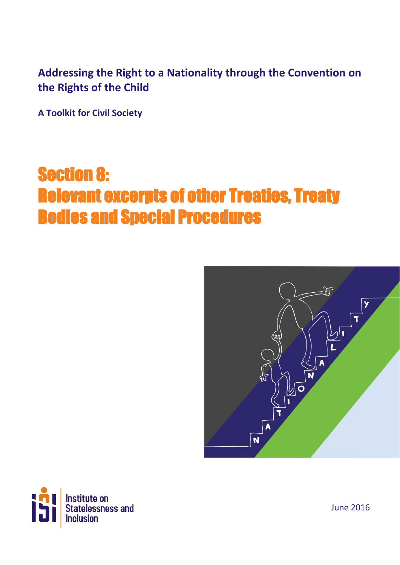# **Addressing the Right to a Nationality through the Convention on the Rights of the Child**

**A Toolkit for Civil Society**

# Section 8: Relevant excerpts of other Treaties, Treaty Bodies and Special Procedures





June 2016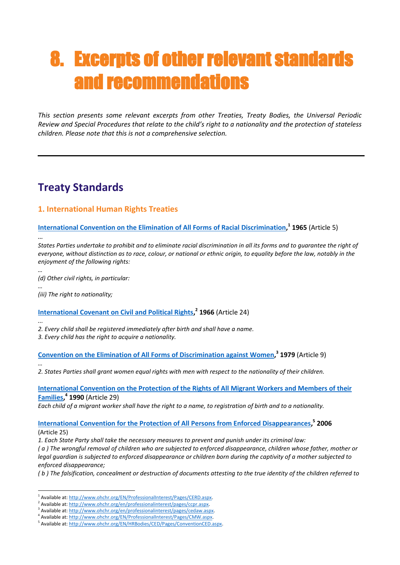# 8. Excerpts of other relevant standards and recommendations

*This section presents some relevant excerpts from other Treaties, Treaty Bodies, the Universal Periodic Review and Special Procedures that relate to the child's right to a nationality and the protection of stateless children. Please note that this is not a comprehensive selection.* 

# **Treaty Standards**

# **1. International Human Rights Treaties**

**[International Convention on the Elimination of All Forms of Racial Discrimination,](http://www.ohchr.org/EN/ProfessionalInterest/Pages/CERD.aspx) 1 1965** (Article 5)

*…* 

*States Parties undertake to prohibit and to eliminate racial discrimination in all its forms and to guarantee the right of everyone, without distinction as to race, colour, or national or ethnic origin, to equality before the law, notably in the enjoyment of the following rights:* 

*… (d) Other civil rights, in particular:* 

*…*

*...* 

**.** 

*(iii) The right to nationality;*

**[International Covenant on Civil and Political Rights,](http://www.ohchr.org/en/professionalinterest/pages/ccpr.aspx) 2 1966** (Article 24)

*2. Every child shall be registered immediately after birth and shall have a name.*

*3. Every child has the right to acquire a nationality.*

**[Convention on the Elimination of All Forms of Discrimination against Women,](http://www.ohchr.org/en/professionalinterest/pages/cedaw.aspx) 3 1979** (Article 9)

*… 2. States Parties shall grant women equal rights with men with respect to the nationality of their children.*

**[International Convention on the Protection of the Rights of All Migrant Workers and Members of their](http://www.ohchr.org/EN/ProfessionalInterest/Pages/CMW.aspx)  [Families,](http://www.ohchr.org/EN/ProfessionalInterest/Pages/CMW.aspx) 4 1990** (Article 29)

*Each child of a migrant worker shall have the right to a name, to registration of birth and to a nationality.*

**[International Convention for the Protection of All Persons from Enforced Disappearances,](http://www.ohchr.org/EN/HRBodies/CED/Pages/ConventionCED.aspx) 5 2006** (Article 25)

*1. Each State Party shall take the necessary measures to prevent and punish under its criminal law:*

*( a ) The wrongful removal of children who are subjected to enforced disappearance, children whose father, mother or legal guardian is subjected to enforced disappearance or children born during the captivity of a mother subjected to enforced disappearance;* 

*( b ) The falsification, concealment or destruction of documents attesting to the true identity of the children referred to* 

<sup>&</sup>lt;sup>1</sup> Available at: http://www.ohchr.org/EN/ProfessionalInterest/Pages/CERD.aspx.

<sup>&</sup>lt;sup>2</sup> Available at: http://www.ohchr.org/en/professionalinterest/pages/ccpr.aspx.

<sup>&</sup>lt;sup>3</sup> Available at: [http://www.ohchr.org/en/professionalinterest/pages/cedaw.aspx.](http://www.ohchr.org/en/professionalinterest/pages/cedaw.aspx)

<sup>4</sup> Available at: [http://www.ohchr.org/EN/ProfessionalInterest/Pages/CMW.aspx.](http://www.ohchr.org/EN/ProfessionalInterest/Pages/CMW.aspx)

<sup>&</sup>lt;sup>5</sup> Available at: http://www.ohchr.org/EN/HRBodies/CED/Pages/ConventionCED.aspx.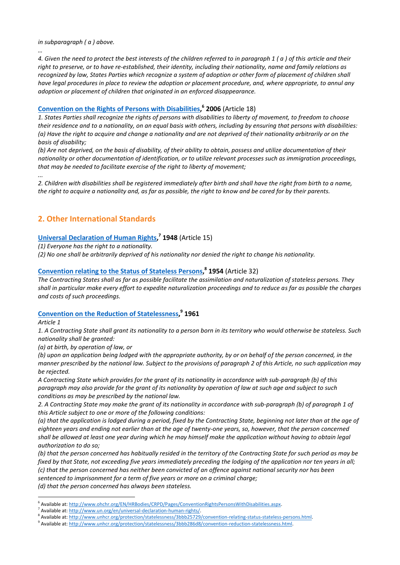*in subparagraph ( a ) above.* 

*… 4. Given the need to protect the best interests of the children referred to in paragraph 1 ( a ) of this article and their right to preserve, or to have re-established, their identity, including their nationality, name and family relations as recognized by law, States Parties which recognize a system of adoption or other form of placement of children shall have legal procedures in place to review the adoption or placement procedure, and, where appropriate, to annul any adoption or placement of children that originated in an enforced disappearance.*

# **[Convention on the Rights of Persons with Disabilities,](http://www.ohchr.org/EN/HRBodies/CRPD/Pages/ConventionRightsPersonsWithDisabilities.aspx) 6 2006** (Article 18)

*1. States Parties shall recognize the rights of persons with disabilities to liberty of movement, to freedom to choose their residence and to a nationality, on an equal basis with others, including by ensuring that persons with disabilities: (a) Have the right to acquire and change a nationality and are not deprived of their nationality arbitrarily or on the basis of disability;* 

*(b) Are not deprived, on the basis of disability, of their ability to obtain, possess and utilize documentation of their nationality or other documentation of identification, or to utilize relevant processes such as immigration proceedings, that may be needed to facilitate exercise of the right to liberty of movement;* 

*... 2. Children with disabilities shall be registered immediately after birth and shall have the right from birth to a name, the right to acquire a nationality and, as far as possible, the right to know and be cared for by their parents.*

# **2. Other International Standards**

# **[Universal Declaration of Human Rights,](http://www.un.org/en/universal-declaration-human-rights/) 7 1948** (Article 15)

*(1) Everyone has the right to a nationality.*

*(2) No one shall be arbitrarily deprived of his nationality nor denied the right to change his nationality.*

# **[Convention relating to the Status of Stateless Persons,](http://www.unhcr.org/protection/statelessness/3bbb25729/convention-relating-status-stateless-persons.html) 8 1954** (Article 32)

*The Contracting States shall as far as possible facilitate the assimilation and naturalization of stateless persons. They shall in particular make every effort to expedite naturalization proceedings and to reduce as far as possible the charges and costs of such proceedings.*

# **[Convention on the Reduction of Statelessness,](http://www.unhcr.org/protection/statelessness/3bbb286d8/convention-reduction-statelessness.html) 9 1961**

*Article 1*

**.** 

*1. A Contracting State shall grant its nationality to a person born in its territory who would otherwise be stateless. Such nationality shall be granted:*

*(a) at birth, by operation of law, or*

*(b) upon an application being lodged with the appropriate authority, by or on behalf of the person concerned, in the manner prescribed by the national law. Subject to the provisions of paragraph 2 of this Article, no such application may be rejected.*

*A Contracting State which provides for the grant of its nationality in accordance with sub-paragraph (b) of this paragraph may also provide for the grant of its nationality by operation of law at such age and subject to such conditions as may be prescribed by the national law.*

*2. A Contracting State may make the grant of its nationality in accordance with sub-paragraph (b) of paragraph 1 of this Article subject to one or more of the following conditions:*

*(a) that the application is lodged during a period, fixed by the Contracting State, beginning not later than at the age of eighteen years and ending not earlier than at the age of twenty-one years, so, however, that the person concerned shall be allowed at least one year during which he may himself make the application without having to obtain legal authorization to do so;*

*(b) that the person concerned has habitually resided in the territory of the Contracting State for such period as may be fixed by that State, not exceeding five years immediately preceding the lodging of the application nor ten years in all; (c) that the person concerned has neither been convicted of an offence against national security nor has been sentenced to imprisonment for a term of five years or more on a criminal charge; (d) that the person concerned has always been stateless.*

<sup>&</sup>lt;sup>6</sup> Available at: http://www.ohchr.org/EN/HRBodies/CRPD/Pages/ConventionRightsPersonsWithDisabilities.aspx.

<sup>&</sup>lt;sup>7</sup> Available at: http://www.un.org/en/universal-declaration-human-rights/.

<sup>&</sup>lt;sup>8</sup> Available at: [http://www.unhcr.org/protection/statelessness/3bbb25729/convention-relating-status-stateless-persons.html.](http://www.unhcr.org/protection/statelessness/3bbb25729/convention-relating-status-stateless-persons.html)

<sup>9</sup> Available at: [http://www.unhcr.org/protection/statelessness/3bbb286d8/convention-reduction-statelessness.html.](http://www.unhcr.org/protection/statelessness/3bbb286d8/convention-reduction-statelessness.html)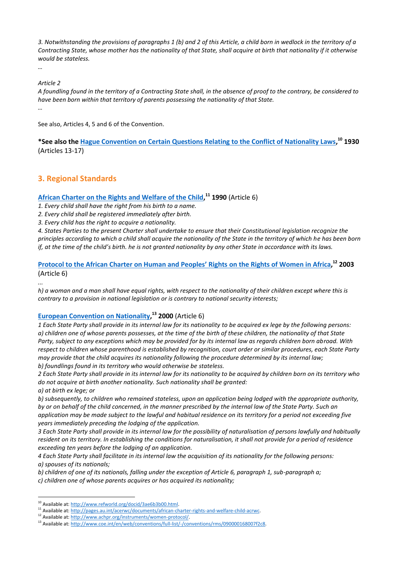*3. Notwithstanding the provisions of paragraphs 1 (b) and 2 of this Article, a child born in wedlock in the territory of a Contracting State, whose mother has the nationality of that State, shall acquire at birth that nationality if it otherwise would be stateless.*

*…*

*Article 2*

*A foundling found in the territory of a Contracting State shall, in the absence of proof to the contrary, be considered to have been born within that territory of parents possessing the nationality of that State.*

*…*

See also, Articles 4, 5 and 6 of the Convention.

**\*See also the [Hague Convention on Certain Questions Relating to the Conflict of Nationality Laws,](http://www.refworld.org/docid/3ae6b3b00.html) <sup>10</sup> 1930** (Articles 13-17)

# **3. Regional Standards**

# **[African Charter on the Rights and Welfare of the Child,](http://pages.au.int/acerwc/documents/african-charter-rights-and-welfare-child-acrwc) <sup>11</sup> 1990** (Article 6)

*1. Every child shall have the right from his birth to a name.*

*2. Every child shall be registered immediately after birth.*

*3. Every child has the right to acquire a nationality.*

*4. States Parties to the present Charter shall undertake to ensure that their Constitutional legislation recognize the principles according to which a child shall acquire the nationality of the State in the territory of which he has been born if, at the time of the child's birth. he is not granted nationality by any other State in accordance with its laws.*

# **[Protocol to the African Charter on Human and Peoples' Rights](http://www.achpr.org/instruments/women-protocol/) on the Rights of Women in Africa, <sup>12</sup> 2003** (Article 6)

*...*

**.** 

*h) a woman and a man shall have equal rights, with respect to the nationality of their children except where this is contrary to a provision in national legislation or is contrary to national security interests;*

# **[European Convention on Nationality,](http://www.coe.int/en/web/conventions/full-list/-/conventions/rms/090000168007f2c8) <sup>13</sup> 2000** (Article 6)

*1 Each State Party shall provide in its internal law for its nationality to be acquired ex lege by the following persons: a) children one of whose parents possesses, at the time of the birth of these children, the nationality of that State Party, subject to any exceptions which may be provided for by its internal law as regards children born abroad. With respect to children whose parenthood is established by recognition, court order or similar procedures, each State Party may provide that the child acquires its nationality following the procedure determined by its internal law; b) foundlings found in its territory who would otherwise be stateless.* 

*2 Each State Party shall provide in its internal law for its nationality to be acquired by children born on its territory who do not acquire at birth another nationality. Such nationality shall be granted:* 

*a) at birth ex lege; or* 

*b) subsequently, to children who remained stateless, upon an application being lodged with the appropriate authority,*  by or on behalf of the child concerned, in the manner prescribed by the internal law of the State Party. Such an *application may be made subject to the lawful and habitual residence on its territory for a period not exceeding five years immediately preceding the lodging of the application.* 

*3 Each State Party shall provide in its internal law for the possibility of naturalisation of persons lawfully and habitually resident on its territory. In establishing the conditions for naturalisation, it shall not provide for a period of residence exceeding ten years before the lodging of an application.* 

*4 Each State Party shall facilitate in its internal law the acquisition of its nationality for the following persons: a) spouses of its nationals;* 

*b) children of one of its nationals, falling under the exception of Article 6, paragraph 1, sub-paragraph a;* 

*c) children one of whose parents acquires or has acquired its nationality;* 

<sup>&</sup>lt;sup>10</sup> Available at[: http://www.refworld.org/docid/3ae6b3b00.html.](http://www.refworld.org/docid/3ae6b3b00.html)

<sup>11</sup> Available at[: http://pages.au.int/acerwc/documents/african-charter-rights-and-welfare-child-acrwc.](http://pages.au.int/acerwc/documents/african-charter-rights-and-welfare-child-acrwc) 

<sup>12</sup> Available at[: http://www.achpr.org/instruments/women-protocol/.](http://www.achpr.org/instruments/women-protocol/) 

<sup>&</sup>lt;sup>13</sup> Available at[: http://www.coe.int/en/web/conventions/full-list/-/conventions/rms/090000168007f2c8.](http://www.coe.int/en/web/conventions/full-list/-/conventions/rms/090000168007f2c8)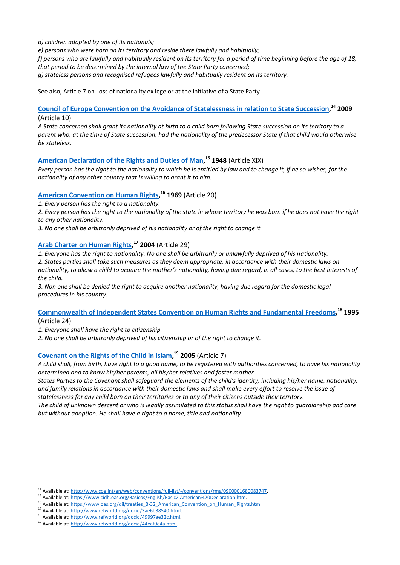*d) children adopted by one of its nationals;* 

*e) persons who were born on its territory and reside there lawfully and habitually; f) persons who are lawfully and habitually resident on its territory for a period of time beginning before the age of 18, that period to be determined by the internal law of the State Party concerned; g) stateless persons and recognised refugees lawfully and habitually resident on its territory.* 

See also, Article 7 on Loss of nationality ex lege or at the initiative of a State Party

**[Council of Europe Convention on the Avoidance of Statelessness in relation to State Succession,](http://www.coe.int/en/web/conventions/full-list/-/conventions/rms/0900001680083747) <sup>14</sup> 2009**  (Article 10)

*A State concerned shall grant its nationality at birth to a child born following State succession on its territory to a parent who, at the time of State succession, had the nationality of the predecessor State if that child would otherwise be stateless.*

# **[American Declaration of the Rights and Duties of Man,](https://www.cidh.oas.org/Basicos/English/Basic2.American%20Declaration.htm) <sup>15</sup> 1948** (Article XIX)

*Every person has the right to the nationality to which he is entitled by law and to change it, if he so wishes, for the nationality of any other country that is willing to grant it to him.*

# **[American Convention on Human Rights,](https://www.oas.org/dil/treaties_B-32_American_Convention_on_Human_Rights.htm) <sup>16</sup> 1969** (Article 20)

*1. Every person has the right to a nationality.*

*2. Every person has the right to the nationality of the state in whose territory he was born if he does not have the right to any other nationality.*

*3. No one shall be arbitrarily deprived of his nationality or of the right to change it*

# **[Arab Charter on Human Rights,](http://www.refworld.org/docid/3ae6b38540.html) <sup>17</sup> 2004** (Article 29)

*1. Everyone has the right to nationality. No one shall be arbitrarily or unlawfully deprived of his nationality.*

*2. States parties shall take such measures as they deem appropriate, in accordance with their domestic laws on nationality, to allow a child to acquire the mother's nationality, having due regard, in all cases, to the best interests of the child.*

*3. Non one shall be denied the right to acquire another nationality, having due regard for the domestic legal procedures in his country.*

# **[Commonwealth of Independent States Convention on Human Rights and Fundamental Freedoms,](http://www.refworld.org/docid/49997ae32c.html) <sup>18</sup> 1995** (Article 24)

*1. Everyone shall have the right to citizenship.*

*2. No one shall be arbitrarily deprived of his citizenship or of the right to change it.*

# **[Covenant on the Rights of the Child in Islam,](http://www.refworld.org/docid/44eaf0e4a.html) <sup>19</sup> 2005** (Article 7)

*A child shall, from birth, have right to a good name, to be registered with authorities concerned, to have his nationality determined and to know his/her parents, all his/her relatives and foster mother.*

*States Parties to the Covenant shall safeguard the elements of the child's identity, including his/her name, nationality, and family relations in accordance with their domestic laws and shall make every effort to resolve the issue of statelessness for any child born on their territories or to any of their citizens outside their territory.*

*The child of unknown descent or who is legally assimilated to this status shall have the right to guardianship and care but without adoption. He shall have a right to a name, title and nationality.*

**.** 

<sup>&</sup>lt;sup>14</sup> Available at[: http://www.coe.int/en/web/conventions/full-list/-/conventions/rms/0900001680083747.](http://www.coe.int/en/web/conventions/full-list/-/conventions/rms/0900001680083747)

<sup>15</sup> Available at: https://www.cidh.oas.org/Basicos/English/Basic2.American%20Declaration.htm.

<sup>16</sup> Available at: https://www.oas.org/dil/treaties\_B-32\_American\_Convention\_on\_Human\_Rights.htm.

<sup>17</sup> Available at[: http://www.refworld.org/docid/3ae6b38540.html.](http://www.refworld.org/docid/3ae6b38540.html)

<sup>&</sup>lt;sup>18</sup> Available at[: http://www.refworld.org/docid/49997ae32c.html.](http://www.refworld.org/docid/49997ae32c.html)

<sup>&</sup>lt;sup>19</sup> Available at[: http://www.refworld.org/docid/44eaf0e4a.html.](http://www.refworld.org/docid/44eaf0e4a.html)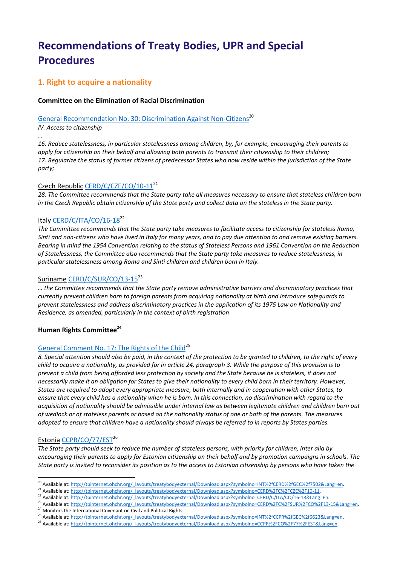# **Recommendations of Treaty Bodies, UPR and Special Procedures**

# **1. Right to acquire a nationality**

# **Committee on the Elimination of Racial Discrimination**

[General Recommendation No. 30: Discrimination Against Non-Citizens](http://tbinternet.ohchr.org/_layouts/treatybodyexternal/Download.aspx?symbolno=INT%2fCERD%2fGEC%2f7502&Lang=en)<sup>20</sup>

*IV. Access to citizenship*

*…*

*16. Reduce statelessness, in particular statelessness among children, by, for example, encouraging their parents to apply for citizenship on their behalf and allowing both parents to transmit their citizenship to their children; 17. Regularize the status of former citizens of predecessor States who now reside within the jurisdiction of the State party;*

# Czech Republic [CERD/C/CZE/CO/10-11](http://tbinternet.ohchr.org/_layouts/treatybodyexternal/Download.aspx?symbolno=CERD%2FC%2FCZE%2F10-11)<sup>21</sup>

*28. The Committee recommends that the State party take all measures necessary to ensure that stateless children born in the Czech Republic obtain citizenship of the State party and collect data on the stateless in the State party.*

# Italy [CERD/C/ITA/CO/16-18](http://tbinternet.ohchr.org/_layouts/treatybodyexternal/Download.aspx?symbolno=CERD/C/ITA/CO/16-18&Lang=En)<sup>22</sup>

*The Committee recommends that the State party take measures to facilitate access to citizenship for stateless Roma, Sinti and non-citizens who have lived in Italy for many years, and to pay due attention to and remove existing barriers. Bearing in mind the 1954 Convention relating to the status of Stateless Persons and 1961 Convention on the Reduction of Statelessness, the Committee also recommends that the State party take measures to reduce statelessness, in particular statelessness among Roma and Sinti children and children born in Italy.*

# Suriname [CERD/C/SUR/CO/13-15](http://tbinternet.ohchr.org/_layouts/treatybodyexternal/Download.aspx?symbolno=CERD%2FC%2FSUR%2FCO%2F13-15&Lang=en)<sup>23</sup>

*… the Committee recommends that the State party remove administrative barriers and discriminatory practices that currently prevent children born to foreign parents from acquiring nationality at birth and introduce safeguards to prevent statelessness and address discriminatory practices in the application of its 1975 Law on Nationality and Residence, as amended, particularly in the context of birth registration*

## **Human Rights Committee<sup>24</sup>**

## [General Comment No. 17: The Rights of the Child](http://tbinternet.ohchr.org/_layouts/treatybodyexternal/Download.aspx?symbolno=INT%2fCCPR%2fGEC%2f6623&Lang=en)<sup>25</sup>

*8. Special attention should also be paid, in the context of the protection to be granted to children, to the right of every child to acquire a nationality, as provided for in article 24, paragraph 3. While the purpose of this provision is to prevent a child from being afforded less protection by society and the State because he is stateless, it does not necessarily make it an obligation for States to give their nationality to every child born in their territory. However, States are required to adopt every appropriate measure, both internally and in cooperation with other States, to ensure that every child has a nationality when he is born. In this connection, no discrimination with regard to the acquisition of nationality should be admissible under internal law as between legitimate children and children born out of wedlock or of stateless parents or based on the nationality status of one or both of the parents. The measures adopted to ensure that children have a nationality should always be referred to in reports by States parties.*

## Estonia [CCPR/CO/77/EST](http://tbinternet.ohchr.org/_layouts/treatybodyexternal/Download.aspx?symbolno=CCPR%2FCO%2F77%2FEST&Lang=en)<sup>26</sup>

*The State party should seek to reduce the number of stateless persons, with priority for children, inter alia by encouraging their parents to apply for Estonian citizenship on their behalf and by promotion campaigns in schools. The State party is invited to reconsider its position as to the access to Estonian citizenship by persons who have taken the* 

**<sup>.</sup>** <sup>20</sup> Available at: http://tbinternet.ohchr.org/\_layouts/treatybodyexternal/Download.aspx?symbolno=INT%2fCERD%2fGEC%2f7502&Lang=en.

<sup>21</sup> Available at: http://tbinternet.ohchr.org/\_layouts/treatybodyexternal/Download.aspx?symbolno=CERD%2FC%2FCZE%2F10-11.

<sup>22</sup> Available at: http://tbinternet.ohchr.org/\_layouts/treatybodyexternal/Download.aspx?symbolno=CERD/C/ITA/CO/16-18&Lang=En.

<sup>23</sup> Available at: http://tbinternet.ohchr.org/\_layouts/treatybodyexternal/Download.aspx?symbolno=CERD%2FC%2FSUR%2FCO%2F13-15&Lang=en.

<sup>&</sup>lt;sup>24</sup> Monitors the International Covenant on Civil and Political Rights.

<sup>&</sup>lt;sup>25</sup> Available at[: http://tbinternet.ohchr.org/\\_layouts/treatybodyexternal/Download.aspx?symbolno=INT%2fCCPR%2fGEC%2f6623&Lang=en.](http://tbinternet.ohchr.org/_layouts/treatybodyexternal/Download.aspx?symbolno=INT%2fCCPR%2fGEC%2f6623&Lang=en)

<sup>&</sup>lt;sup>26</sup> Available at: http://tbinternet.ohchr.org/\_layouts/treatybodyexternal/Download.aspx?symbolno=CCPR%2FCO%2F77%2FEST&Lang=en.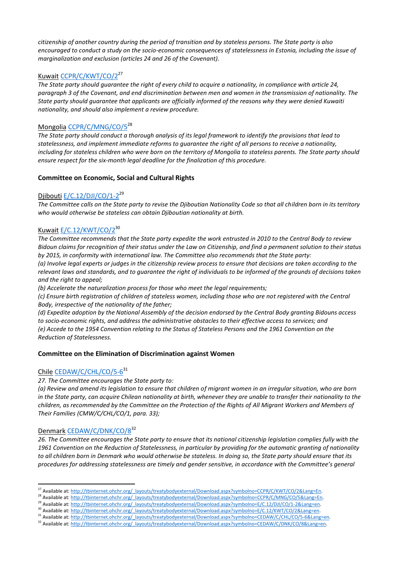*citizenship of another country during the period of transition and by stateless persons. The State party is also encouraged to conduct a study on the socio-economic consequences of statelessness in Estonia, including the issue of marginalization and exclusion (articles 24 and 26 of the Covenant).*

# Kuwait [CCPR/C/KWT/CO/2](http://tbinternet.ohchr.org/_layouts/treatybodyexternal/Download.aspx?symbolno=CCPR/C/KWT/CO/2&Lang=En)<sup>27</sup>

*The State party should guarantee the right of every child to acquire a nationality, in compliance with article 24, paragraph 3 of the Covenant, and end discrimination between men and women in the transmission of nationality. The State party should guarantee that applicants are officially informed of the reasons why they were denied Kuwaiti nationality, and should also implement a review procedure.*

# Mongolia [CCPR/C/MNG/CO/5](http://tbinternet.ohchr.org/_layouts/treatybodyexternal/Download.aspx?symbolno=CCPR/C/MNG/CO/5&Lang=En)<sup>28</sup>

*The State party should conduct a thorough analysis of its legal framework to identify the provisions that lead to statelessness, and implement immediate reforms to guarantee the right of all persons to receive a nationality, including for stateless children who were born on the territory of Mongolia to stateless parents. The State party should ensure respect for the six-month legal deadline for the finalization of this procedure.* 

## **Committee on Economic, Social and Cultural Rights**

# Djibouti [E/C.12/DJI/CO/1-2](http://tbinternet.ohchr.org/_layouts/treatybodyexternal/Download.aspx?symbolno=E/C.12/DJI/CO/1-2&Lang=en)<sup>29</sup>

*The Committee calls on the State party to revise the Djiboutian Nationality Code so that all children born in its territory who would otherwise be stateless can obtain Djiboutian nationality at birth.*

## Kuwait [E/C.12/KWT/CO/2](http://tbinternet.ohchr.org/_layouts/treatybodyexternal/Download.aspx?symbolno=E/C.12/KWT/CO/2&Lang=en)<sup>30</sup>

*The Committee recommends that the State party expedite the work entrusted in 2010 to the Central Body to review Bidoun claims for recognition of their status under the Law on Citizenship, and find a permanent solution to their status by 2015, in conformity with international law. The Committee also recommends that the State party: (a) Involve legal experts or judges in the citizenship review process to ensure that decisions are taken according to the relevant laws and standards, and to guarantee the right of individuals to be informed of the grounds of decisions taken* 

*and the right to appeal;* 

*(b) Accelerate the naturalization process for those who meet the legal requirements;* 

*(c) Ensure birth registration of children of stateless women, including those who are not registered with the Central Body, irrespective of the nationality of the father;* 

*(d) Expedite adoption by the National Assembly of the decision endorsed by the Central Body granting Bidouns access to socio-economic rights, and address the administrative obstacles to their effective access to services; and (e) Accede to the 1954 Convention relating to the Status of Stateless Persons and the 1961 Convention on the Reduction of Statelessness.*

#### **Committee on the Elimination of Discrimination against Women**

# Chile [CEDAW/C/CHL/CO/5-6](http://tbinternet.ohchr.org/_layouts/treatybodyexternal/Download.aspx?symbolno=CEDAW/C/CHL/CO/5-6&Lang=en)<sup>31</sup>

*27. The Committee encourages the State party to:* 

*(a) Review and amend its legislation to ensure that children of migrant women in an irregular situation, who are born in the State party, can acquire Chilean nationality at birth, whenever they are unable to transfer their nationality to the children, as recommended by the Committee on the Protection of the Rights of All Migrant Workers and Members of Their Families (CMW/C/CHL/CO/1, para. 33);*

# Denmark [CEDAW/C/DNK/CO/8](http://tbinternet.ohchr.org/_layouts/treatybodyexternal/Download.aspx?symbolno=CEDAW/C/DNK/CO/8&Lang=en)<sup>32</sup>

**.** 

*26. The Committee encourages the State party to ensure that its national citizenship legislation complies fully with the 1961 Convention on the Reduction of Statelessness, in particular by providing for the automatic granting of nationality to all children born in Denmark who would otherwise be stateless. In doing so, the State party should ensure that its procedures for addressing statelessness are timely and gender sensitive, in accordance with the Committee's general* 

<sup>&</sup>lt;sup>27</sup> Available at[: http://tbinternet.ohchr.org/\\_layouts/treatybodyexternal/Download.aspx?symbolno=CCPR/C/KWT/CO/2&Lang=En.](http://tbinternet.ohchr.org/_layouts/treatybodyexternal/Download.aspx?symbolno=CCPR/C/KWT/CO/2&Lang=En)

<sup>28</sup> Available at[: http://tbinternet.ohchr.org/\\_layouts/treatybodyexternal/Download.aspx?symbolno=CCPR/C/MNG/CO/5&Lang=En.](http://tbinternet.ohchr.org/_layouts/treatybodyexternal/Download.aspx?symbolno=CCPR/C/MNG/CO/5&Lang=En)

<sup>29</sup> Available at[: http://tbinternet.ohchr.org/\\_layouts/treatybodyexternal/Download.aspx?symbolno=E/C.12/DJI/CO/1-2&Lang=en.](http://tbinternet.ohchr.org/_layouts/treatybodyexternal/Download.aspx?symbolno=E/C.12/DJI/CO/1-2&Lang=en)

<sup>30</sup> Available at: http://tbinternet.ohchr.org/\_layouts/treatybodyexternal/Download.aspx?symbolno=E/C.12/KWT/CO/2&Lang=en.

<sup>31</sup> Available at[: http://tbinternet.ohchr.org/\\_layouts/treatybodyexternal/Download.aspx?symbolno=CEDAW/C/CHL/CO/5-6&Lang=en.](http://tbinternet.ohchr.org/_layouts/treatybodyexternal/Download.aspx?symbolno=CEDAW/C/CHL/CO/5-6&Lang=en)

<sup>32</sup> Available at[: http://tbinternet.ohchr.org/\\_layouts/treatybodyexternal/Download.aspx?symbolno=CEDAW/C/DNK/CO/8&Lang=en.](http://tbinternet.ohchr.org/_layouts/treatybodyexternal/Download.aspx?symbolno=CEDAW/C/DNK/CO/8&Lang=en)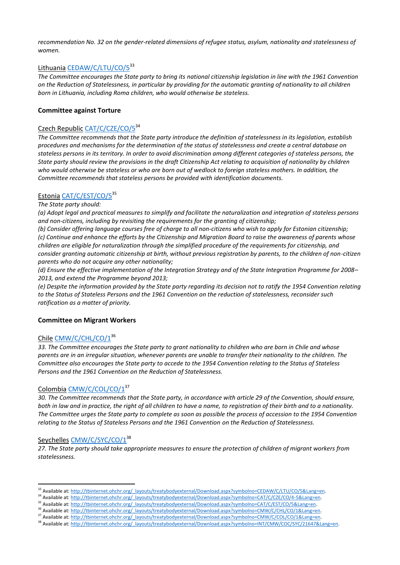*recommendation No. 32 on the gender-related dimensions of refugee status, asylum, nationality and statelessness of women.*

## Lithuania [CEDAW/C/LTU/CO/5](http://tbinternet.ohchr.org/_layouts/treatybodyexternal/Download.aspx?symbolno=CEDAW/C/LTU/CO/5&Lang=en)33

*The Committee encourages the State party to bring its national citizenship legislation in line with the 1961 Convention on the Reduction of Statelessness, in particular by providing for the automatic granting of nationality to all children born in Lithuania, including Roma children, who would otherwise be stateless.*

#### **Committee against Torture**

#### Czech Republic [CAT/C/CZE/CO/5](http://tbinternet.ohchr.org/_layouts/treatybodyexternal/Download.aspx?symbolno=CAT/C/CZE/CO/4-5&Lang=en)<sup>34</sup>

*The Committee recommends that the State party introduce the definition of statelessness in its legislation, establish procedures and mechanisms for the determination of the status of statelessness and create a central database on stateless persons in its territory. In order to avoid discrimination among different categories of stateless persons, the State party should review the provisions in the draft Citizenship Act relating to acquisition of nationality by children who would otherwise be stateless or who are born out of wedlock to foreign stateless mothers. In addition, the Committee recommends that stateless persons be provided with identification documents.*

# Estonia [CAT/C/EST/CO/5](http://tbinternet.ohchr.org/_layouts/treatybodyexternal/Download.aspx?symbolno=CAT/C/EST/CO/5&Lang=en)<sup>35</sup>

#### *The State party should:*

*(a) Adopt legal and practical measures to simplify and facilitate the naturalization and integration of stateless persons and non-citizens, including by revisiting the requirements for the granting of citizenship;*

*(b) Consider offering language courses free of charge to all non-citizens who wish to apply for Estonian citizenship; (c) Continue and enhance the efforts by the Citizenship and Migration Board to raise the awareness of parents whose children are eligible for naturalization through the simplified procedure of the requirements for citizenship, and consider granting automatic citizenship at birth, without previous registration by parents, to the children of non-citizen parents who do not acquire any other nationality;*

*(d) Ensure the effective implementation of the Integration Strategy and of the State Integration Programme for 2008– 2013, and extend the Programme beyond 2013;*

*(e) Despite the information provided by the State party regarding its decision not to ratify the 1954 Convention relating to the Status of Stateless Persons and the 1961 Convention on the reduction of statelessness, reconsider such ratification as a matter of priority.*

#### **Committee on Migrant Workers**

## Chile [CMW/C/CHL/CO/1](http://tbinternet.ohchr.org/_layouts/treatybodyexternal/Download.aspx?symbolno=CMW/C/CHL/CO/1&Lang=en)<sup>36</sup>

*33. The Committee encourages the State party to grant nationality to children who are born in Chile and whose parents are in an irregular situation, whenever parents are unable to transfer their nationality to the children. The Committee also encourages the State party to accede to the 1954 Convention relating to the Status of Stateless Persons and the 1961 Convention on the Reduction of Statelessness.*

# Colombia [CMW/C/COL/CO/1](http://tbinternet.ohchr.org/_layouts/treatybodyexternal/Download.aspx?symbolno=CMW/C/COL/CO/1&Lang=en)<sup>37</sup>

*30. The Committee recommends that the State party, in accordance with article 29 of the Convention, should ensure, both in law and in practice, the right of all children to have a name, to registration of their birth and to a nationality. The Committee urges the State party to complete as soon as possible the process of accession to the 1954 Convention relating to the Status of Stateless Persons and the 1961 Convention on the Reduction of Statelessness.*

#### Seychelles [CMW/C/SYC/CO/1](http://tbinternet.ohchr.org/_layouts/treatybodyexternal/Download.aspx?symbolno=INT/CMW/COC/SYC/21647&Lang=en)38

**.** 

*27. The State party should take appropriate measures to ensure the protection of children of migrant workers from statelessness.*

<sup>&</sup>lt;sup>33</sup> Available at: http://tbinternet.ohchr.org/\_layouts/treatybodyexternal/Download.aspx?symbolno=CEDAW/C/LTU/CO/5&Lang=en.

<sup>34</sup> Available at: http://tbinternet.ohchr.org/\_layouts/treatybodyexternal/Download.aspx?symbolno=CAT/C/CZE/CO/4-5&Lang=en.

<sup>35</sup> Available at: http://tbinternet.ohchr.org/\_layouts/treatybodyexternal/Download.aspx?symbolno=CAT/C/EST/CO/5&Lang=en.

<sup>36</sup> Available at[: http://tbinternet.ohchr.org/\\_layouts/treatybodyexternal/Download.aspx?symbolno=CMW/C/CHL/CO/1&Lang=en.](http://tbinternet.ohchr.org/_layouts/treatybodyexternal/Download.aspx?symbolno=CMW/C/CHL/CO/1&Lang=en)

<sup>37</sup> Available at[: http://tbinternet.ohchr.org/\\_layouts/treatybodyexternal/Download.aspx?symbolno=CMW/C/COL/CO/1&Lang=en.](http://tbinternet.ohchr.org/_layouts/treatybodyexternal/Download.aspx?symbolno=CMW/C/COL/CO/1&Lang=en)

<sup>38</sup> Available at: http://tbinternet.ohchr.org/\_layouts/treatybodyexternal/Download.aspx?symbolno=INT/CMW/COC/SYC/21647&Lang=en.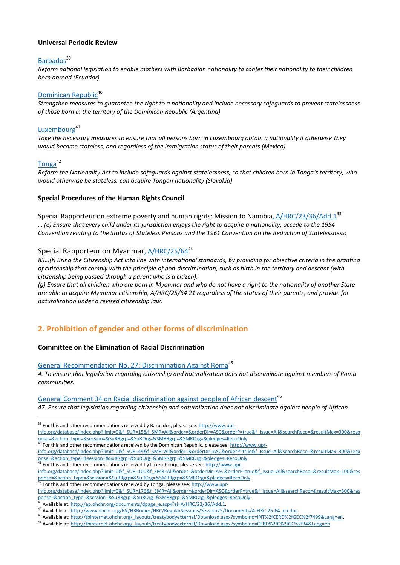#### **Universal Periodic Review**

# [Barbados](http://www.upr-info.org/database/index.php?limit=0&f_SUR=15&f_SMR=All&order=&orderDir=ASC&orderP=true&f_Issue=All&searchReco=&resultMax=300&response=&action_type=&session=&SuRRgrp=&SuROrg=&SMRRgrp=&SMROrg=&pledges=RecoOnly)<sup>39</sup>

*Reform national legislation to enable mothers with Barbadian nationality to confer their nationality to their children born abroad (Ecuador)* 

#### [Dominican Republic](http://www.upr-info.org/database/index.php?limit=0&f_SUR=49&f_SMR=All&order=&orderDir=ASC&orderP=true&f_Issue=All&searchReco=&resultMax=300&response=&action_type=&session=&SuRRgrp=&SuROrg=&SMRRgrp=&SMROrg=&pledges=RecoOnly)<sup>40</sup>

*Strengthen measures to guarantee the right to a nationality and include necessary safeguards to prevent statelessness of those born in the territory of the Dominican Republic (Argentina)*

## [Luxembourg](http://www.upr-info.org/database/index.php?limit=0&f_SUR=100&f_SMR=All&order=&orderDir=ASC&orderP=true&f_Issue=All&searchReco=&resultMax=100&response=&action_type=&session=&SuRRgrp=&SuROrg=&SMRRgrp=&SMROrg=&pledges=RecoOnly)<sup>41</sup>

*Take the necessary measures to ensure that all persons born in Luxembourg obtain a nationality if otherwise they would become stateless, and regardless of the immigration status of their parents (Mexico)*

#### [Tonga](http://www.upr-info.org/database/index.php?limit=0&f_SUR=176&f_SMR=All&order=&orderDir=ASC&orderP=true&f_Issue=All&searchReco=&resultMax=300&response=&action_type=&session=&SuRRgrp=&SuROrg=&SMRRgrp=&SMROrg=&pledges=RecoOnly)<sup>42</sup>

*Reform the Nationality Act to include safeguards against statelessness, so that children born in Tonga's territory, who would otherwise be stateless, can acquire Tongan nationality (Slovakia)*

#### **Special Procedures of the Human Rights Council**

Special Rapporteur on extreme poverty and human rights: Mission to Namibia[, A/HRC/23/36/Add.1](http://ap.ohchr.org/documents/dpage_e.aspx?si=A/HRC/23/36/Add.1)<sup>43</sup> *… (e) Ensure that every child under its jurisdiction enjoys the right to acquire a nationality; accede to the 1954 Convention relating to the Status of Stateless Persons and the 1961 Convention on the Reduction of Statelessness;*

#### Special Rapporteur on Myanmar, [A/HRC/25/64](http://www.ohchr.org/EN/HRBodies/HRC/RegularSessions/Session25/Documents/A-HRC-25-64_en.doc)<sup>44</sup>

*83…(f) Bring the Citizenship Act into line with international standards, by providing for objective criteria in the granting of citizenship that comply with the principle of non-discrimination, such as birth in the territory and descent (with citizenship being passed through a parent who is a citizen);* 

*(g) Ensure that all children who are born in Myanmar and who do not have a right to the nationality of another State are able to acquire Myanmar citizenship, A/HRC/25/64 21 regardless of the status of their parents, and provide for naturalization under a revised citizenship law.*

# **2. Prohibition of gender and other forms of discrimination**

#### **Committee on the Elimination of Racial Discrimination**

#### [General Recommendation No. 27: Discrimination Against Roma](http://tbinternet.ohchr.org/_layouts/treatybodyexternal/Download.aspx?symbolno=INT%2fCERD%2fGEC%2f7499&Lang=en)<sup>45</sup>

*4. To ensure that legislation regarding citizenship and naturalization does not discriminate against members of Roma communities.*

#### General Comment 34 on Racial [discrimination against people of African descent](http://tbinternet.ohchr.org/_layouts/treatybodyexternal/Download.aspx?symbolno=CERD%2fC%2fGC%2f34&Lang=en)<sup>46</sup>

*47. Ensure that legislation regarding citizenship and naturalization does not discriminate against people of African* 

1 <sup>39</sup> For this and other recommendations received by Barbados, please see[: http://www.upr-](http://www.upr-info.org/database/index.php?limit=0&f_SUR=15&f_SMR=All&order=&orderDir=ASC&orderP=true&f_Issue=All&searchReco=&resultMax=300&response=&action_type=&session=&SuRRgrp=&SuROrg=&SMRRgrp=&SMROrg=&pledges=RecoOnly)

<sup>41</sup> For this and other recommendations received by Luxembourg, please see[: http://www.upr-](http://www.upr-info.org/database/index.php?limit=0&f_SUR=100&f_SMR=All&order=&orderDir=ASC&orderP=true&f_Issue=All&searchReco=&resultMax=100&response=&action_type=&session=&SuRRgrp=&SuROrg=&SMRRgrp=&SMROrg=&pledges=RecoOnly)

[info.org/database/index.php?limit=0&f\\_SUR=15&f\\_SMR=All&order=&orderDir=ASC&orderP=true&f\\_Issue=All&searchReco=&resultMax=300&resp](http://www.upr-info.org/database/index.php?limit=0&f_SUR=15&f_SMR=All&order=&orderDir=ASC&orderP=true&f_Issue=All&searchReco=&resultMax=300&response=&action_type=&session=&SuRRgrp=&SuROrg=&SMRRgrp=&SMROrg=&pledges=RecoOnly) [onse=&action\\_type=&session=&SuRRgrp=&SuROrg=&SMRRgrp=&SMROrg=&pledges=RecoOnly.](http://www.upr-info.org/database/index.php?limit=0&f_SUR=15&f_SMR=All&order=&orderDir=ASC&orderP=true&f_Issue=All&searchReco=&resultMax=300&response=&action_type=&session=&SuRRgrp=&SuROrg=&SMRRgrp=&SMROrg=&pledges=RecoOnly) 

<sup>&</sup>lt;sup>40</sup> For this and other recommendations received by the Dominican Republic, please see: [http://www.upr-](http://www.upr-info.org/database/index.php?limit=0&f_SUR=49&f_SMR=All&order=&orderDir=ASC&orderP=true&f_Issue=All&searchReco=&resultMax=300&response=&action_type=&session=&SuRRgrp=&SuROrg=&SMRRgrp=&SMROrg=&pledges=RecoOnly)

[info.org/database/index.php?limit=0&f\\_SUR=49&f\\_SMR=All&order=&orderDir=ASC&orderP=true&f\\_Issue=All&searchReco=&resultMax=300&resp](http://www.upr-info.org/database/index.php?limit=0&f_SUR=49&f_SMR=All&order=&orderDir=ASC&orderP=true&f_Issue=All&searchReco=&resultMax=300&response=&action_type=&session=&SuRRgrp=&SuROrg=&SMRRgrp=&SMROrg=&pledges=RecoOnly) [onse=&action\\_type=&session=&SuRRgrp=&SuROrg=&SMRRgrp=&SMROrg=&pledges=RecoOnly.](http://www.upr-info.org/database/index.php?limit=0&f_SUR=49&f_SMR=All&order=&orderDir=ASC&orderP=true&f_Issue=All&searchReco=&resultMax=300&response=&action_type=&session=&SuRRgrp=&SuROrg=&SMRRgrp=&SMROrg=&pledges=RecoOnly) 

[info.org/database/index.php?limit=0&f\\_SUR=100&f\\_SMR=All&order=&orderDir=ASC&orderP=true&f\\_Issue=All&searchReco=&resultMax=100&res](http://www.upr-info.org/database/index.php?limit=0&f_SUR=100&f_SMR=All&order=&orderDir=ASC&orderP=true&f_Issue=All&searchReco=&resultMax=100&response=&action_type=&session=&SuRRgrp=&SuROrg=&SMRRgrp=&SMROrg=&pledges=RecoOnly) [ponse=&action\\_type=&session=&SuRRgrp=&SuROrg=&SMRRgrp=&SMROrg=&pledges=RecoOnly.](http://www.upr-info.org/database/index.php?limit=0&f_SUR=100&f_SMR=All&order=&orderDir=ASC&orderP=true&f_Issue=All&searchReco=&resultMax=100&response=&action_type=&session=&SuRRgrp=&SuROrg=&SMRRgrp=&SMROrg=&pledges=RecoOnly) 

<sup>&</sup>lt;sup>42</sup> For this and other recommendations received by Tonga, please see[: http://www.upr-](http://www.upr-info.org/database/index.php?limit=0&f_SUR=176&f_SMR=All&order=&orderDir=ASC&orderP=true&f_Issue=All&searchReco=&resultMax=300&response=&action_type=&session=&SuRRgrp=&SuROrg=&SMRRgrp=&SMROrg=&pledges=RecoOnly)

[info.org/database/index.php?limit=0&f\\_SUR=176&f\\_SMR=All&order=&orderDir=ASC&orderP=true&f\\_Issue=All&searchReco=&resultMax=300&res](http://www.upr-info.org/database/index.php?limit=0&f_SUR=176&f_SMR=All&order=&orderDir=ASC&orderP=true&f_Issue=All&searchReco=&resultMax=300&response=&action_type=&session=&SuRRgrp=&SuROrg=&SMRRgrp=&SMROrg=&pledges=RecoOnly) ponse=&action\_type=&session=&SuRRgrp=&SuROrg=&SMRRgrp=&SMROrg=&pledges=RecoOnly.

Available at[: http://ap.ohchr.org/documents/dpage\\_e.aspx?si=A/HRC/23/36/Add.1.](http://ap.ohchr.org/documents/dpage_e.aspx?si=A/HRC/23/36/Add.1)

<sup>44</sup> Available at: http://www.ohchr.org/EN/HRBodies/HRC/RegularSessions/Session25/Documents/A-HRC-25-64\_en.doc.

<sup>45</sup> Available at[: http://tbinternet.ohchr.org/\\_layouts/treatybodyexternal/Download.aspx?symbolno=INT%2fCERD%2fGEC%2f7499&Lang=en.](http://tbinternet.ohchr.org/_layouts/treatybodyexternal/Download.aspx?symbolno=INT%2fCERD%2fGEC%2f7499&Lang=en) 

<sup>&</sup>lt;sup>46</sup> Available at: http://tbinternet.ohchr.org/\_layouts/treatybodyexternal/Download.aspx?symbolno=CERD%2fC%2fGC%2f34&Lang=en.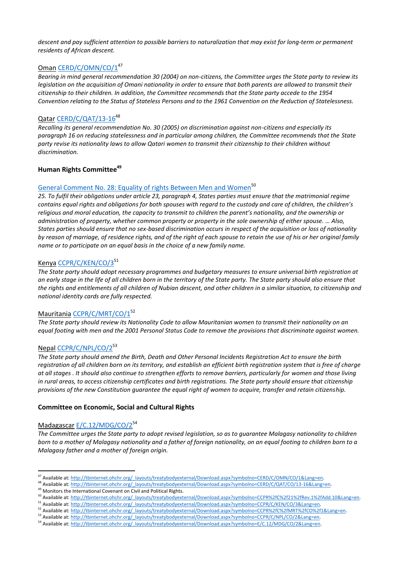*descent and pay sufficient attention to possible barriers to naturalization that may exist for long-term or permanent residents of African descent.*

# Oman [CERD/C/OMN/CO/1](http://tbinternet.ohchr.org/_layouts/treatybodyexternal/Download.aspx?symbolno=CERD/C/OMN/CO/1&Lang=en)<sup>47</sup>

*Bearing in mind general recommendation 30 (2004) on non-citizens, the Committee urges the State party to review its legislation on the acquisition of Omani nationality in order to ensure that both parents are allowed to transmit their citizenship to their children. In addition, the Committee recommends that the State party accede to the 1954 Convention relating to the Status of Stateless Persons and to the 1961 Convention on the Reduction of Statelessness.*

# Qatar [CERD/C/QAT/13-16](http://tbinternet.ohchr.org/_layouts/treatybodyexternal/Download.aspx?symbolno=CERD/C/QAT/CO/13-16&Lang=en)<sup>48</sup>

*Recalling its general recommendation No. 30 (2005) on discrimination against non-citizens and especially its paragraph 16 on reducing statelessness and in particular among children, the Committee recommends that the State party revise its nationality laws to allow Qatari women to transmit their citizenship to their children without discrimination.*

# **Human Rights Committee<sup>49</sup>**

# [General Comment No. 28: Equality of rights Between Men and Women](http://tbinternet.ohchr.org/_layouts/treatybodyexternal/Download.aspx?symbolno=CCPR%2fC%2f21%2fRev.1%2fAdd.10&Lang=en)<sup>50</sup>

*25. To fulfil their obligations under article 23, paragraph 4, States parties must ensure that the matrimonial regime contains equal rights and obligations for both spouses with regard to the custody and care of children, the children's religious and moral education, the capacity to transmit to children the parent's nationality, and the ownership or administration of property, whether common property or property in the sole ownership of either spouse. … Also, States parties should ensure that no sex-based discrimination occurs in respect of the acquisition or loss of nationality by reason of marriage, of residence rights, and of the right of each spouse to retain the use of his or her original family name or to participate on an equal basis in the choice of a new family name.*

# Kenya [CCPR/C/KEN/CO/3](http://tbinternet.ohchr.org/_layouts/treatybodyexternal/Download.aspx?symbolno=CCPR/C/KEN/CO/3&Lang=en)<sup>51</sup>

*The State party should adopt necessary programmes and budgetary measures to ensure universal birth registration at an early stage in the life of all children born in the territory of the State party. The State party should also ensure that the rights and entitlements of all children of Nubian descent, and other children in a similar situation, to citizenship and national identity cards are fully respected.* 

## Mauritania [CCPR/C/MRT/CO/1](http://tbinternet.ohchr.org/_layouts/treatybodyexternal/Download.aspx?symbolno=CCPR%2fC%2fMRT%2fCO%2f1&Lang=en)<sup>52</sup>

*The State party should review its Nationality Code to allow Mauritanian women to transmit their nationality on an equal footing with men and the 2001 Personal Status Code to remove the provisions that discriminate against women.*

## Nepal [CCPR/C/NPL/CO/2](http://tbinternet.ohchr.org/_layouts/treatybodyexternal/Download.aspx?symbolno=CCPR/C/NPL/CO/2&Lang=en)<sup>53</sup>

*The State party should amend the Birth, Death and Other Personal Incidents Registration Act to ensure the birth registration of all children born on its territory, and establish an efficient birth registration system that is free of charge at all stages . It should also continue to strengthen efforts to remove barriers, particularly for women and those living in rural areas, to access citizenship certificates and birth registrations. The State party should ensure that citizenship provisions of the new Constitution guarantee the equal right of women to acquire, transfer and retain citizenship.*

## **Committee on Economic, Social and Cultural Rights**

# Madagascar [E/C.12/MDG/CO/2](http://tbinternet.ohchr.org/_layouts/treatybodyexternal/Download.aspx?symbolno=E/C.12/MDG/CO/2&Lang=en)<sup>54</sup>

**.** 

*The Committee urges the State party to adopt revised legislation, so as to guarantee Malagasy nationality to children born to a mother of Malagasy nationality and a father of foreign nationality, on an equal footing to children born to a Malagasy father and a mother of foreign origin.* 

<sup>&</sup>lt;sup>47</sup> Available at: http://tbinternet.ohchr.org/\_layouts/treatybodyexternal/Download.aspx?symbolno=CERD/C/OMN/CO/1&Lang=en.

<sup>48</sup> Available at[: http://tbinternet.ohchr.org/\\_layouts/treatybodyexternal/Download.aspx?symbolno=CERD/C/QAT/CO/13-16&Lang=en.](http://tbinternet.ohchr.org/_layouts/treatybodyexternal/Download.aspx?symbolno=CERD/C/QAT/CO/13-16&Lang=en)

<sup>49</sup> Monitors the International Covenant on Civil and Political Rights.

<sup>50</sup> Available at[: http://tbinternet.ohchr.org/\\_layouts/treatybodyexternal/Download.aspx?symbolno=CCPR%2fC%2f21%2fRev.1%2fAdd.10&Lang=en.](http://tbinternet.ohchr.org/_layouts/treatybodyexternal/Download.aspx?symbolno=CCPR%2fC%2f21%2fRev.1%2fAdd.10&Lang=en) 

<sup>51</sup> Available at: http://tbinternet.ohchr.org/\_layouts/treatybodyexternal/Download.aspx?symbolno=CCPR/C/KEN/CO/3&Lang=en.

<sup>52</sup> Available at[: http://tbinternet.ohchr.org/\\_layouts/treatybodyexternal/Download.aspx?symbolno=CCPR%2fC%2fMRT%2fCO%2f1&Lang=en.](http://tbinternet.ohchr.org/_layouts/treatybodyexternal/Download.aspx?symbolno=CCPR%2fC%2fMRT%2fCO%2f1&Lang=en) 

<sup>53</sup> Available at[: http://tbinternet.ohchr.org/\\_layouts/treatybodyexternal/Download.aspx?symbolno=CCPR/C/NPL/CO/2&Lang=en.](http://tbinternet.ohchr.org/_layouts/treatybodyexternal/Download.aspx?symbolno=CCPR/C/NPL/CO/2&Lang=en) 

<sup>54</sup> Available at[: http://tbinternet.ohchr.org/\\_layouts/treatybodyexternal/Download.aspx?symbolno=E/C.12/MDG/CO/2&Lang=en.](http://tbinternet.ohchr.org/_layouts/treatybodyexternal/Download.aspx?symbolno=E/C.12/MDG/CO/2&Lang=en)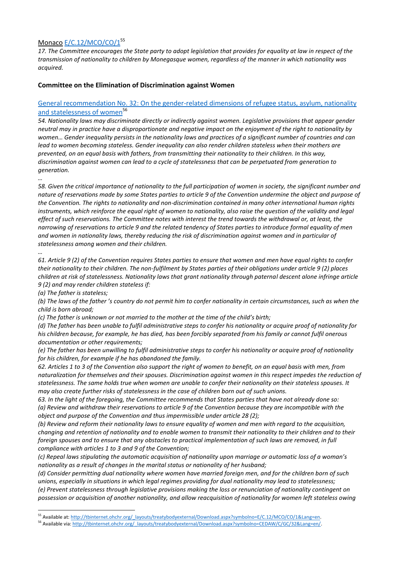# Monaco [E/C.12/MCO/CO/1](http://tbinternet.ohchr.org/_layouts/treatybodyexternal/Download.aspx?symbolno=E/C.12/MCO/CO/1&Lang=en)<sup>55</sup>

*17. The Committee encourages the State party to adopt legislation that provides for equality at law in respect of the transmission of nationality to children by Monegasque women, regardless of the manner in which nationality was acquired.*

## **Committee on the Elimination of Discrimination against Women**

## [General recommendation No. 32: On the gender-related dimensions of refugee status, asylum, nationality](http://tbinternet.ohchr.org/_layouts/treatybodyexternal/Download.aspx?symbolno=CEDAW/C/GC/32&Lang=en)  [and statelessness of women](http://tbinternet.ohchr.org/_layouts/treatybodyexternal/Download.aspx?symbolno=CEDAW/C/GC/32&Lang=en)<sup>56</sup>

*54. Nationality laws may discriminate directly or indirectly against women. Legislative provisions that appear gender neutral may in practice have a disproportionate and negative impact on the enjoyment of the right to nationality by women… Gender inequality persists in the nationality laws and practices of a significant number of countries and can lead to women becoming stateless. Gender inequality can also render children stateless when their mothers are prevented, on an equal basis with fathers, from transmitting their nationality to their children. In this way, discrimination against women can lead to a cycle of statelessness that can be perpetuated from generation to generation.*

*…* 

*58. Given the critical importance of nationality to the full participation of women in society, the significant number and nature of reservations made by some States parties to article 9 of the Convention undermine the object and purpose of the Convention. The rights to nationality and non-discrimination contained in many other international human rights instruments, which reinforce the equal right of women to nationality, also raise the question of the validity and legal effect of such reservations. The Committee notes with interest the trend towards the withdrawal or, at least, the narrowing of reservations to article 9 and the related tendency of States parties to introduce formal equality of men and women in nationality laws, thereby reducing the risk of discrimination against women and in particular of statelessness among women and their children.* 

*…*

*61. Article 9 (2) of the Convention requires States parties to ensure that women and men have equal rights to confer their nationality to their children. The non-fulfilment by States parties of their obligations under article 9 (2) places children at risk of statelessness. Nationality laws that grant nationality through paternal descent alone infringe article 9 (2) and may render children stateless if:* 

*(a) The father is stateless;* 

*(b) The laws of the father 's country do not permit him to confer nationality in certain circumstances, such as when the child is born abroad;* 

*(c) The father is unknown or not married to the mother at the time of the child's birth;* 

*(d) The father has been unable to fulfil administrative steps to confer his nationality or acquire proof of nationality for his children because, for example, he has died, has been forcibly separated from his family or cannot fulfil onerous documentation or other requirements;*

*(e) The father has been unwilling to fulfil administrative steps to confer his nationality or acquire proof of nationality for his children, for example if he has abandoned the family.* 

*62. Articles 1 to 3 of the Convention also support the right of women to benefit, on an equal basis with men, from naturalization for themselves and their spouses. Discrimination against women in this respect impedes the reduction of statelessness. The same holds true when women are unable to confer their nationality on their stateless spouses. It may also create further risks of statelessness in the case of children born out of such unions.* 

*63. In the light of the foregoing, the Committee recommends that States parties that have not already done so: (a) Review and withdraw their reservations to article 9 of the Convention because they are incompatible with the object and purpose of the Convention and thus impermissible under article 28 (2);*

*(b) Review and reform their nationality laws to ensure equality of women and men with regard to the acquisition, changing and retention of nationality and to enable women to transmit their nationality to their children and to their foreign spouses and to ensure that any obstacles to practical implementation of such laws are removed, in full compliance with articles 1 to 3 and 9 of the Convention;* 

*(c) Repeal laws stipulating the automatic acquisition of nationality upon marriage or automatic loss of a woman's nationality as a result of changes in the marital status or nationality of her husband;* 

*(d) Consider permitting dual nationality where women have married foreign men, and for the children born of such unions, especially in situations in which legal regimes providing for dual nationality may lead to statelessness; (e) Prevent statelessness through legislative provisions making the loss or renunciation of nationality contingent on possession or acquisition of another nationality, and allow reacquisition of nationality for women left stateless owing* 

<sup>1</sup> <sup>55</sup> Available at: http://tbinternet.ohchr.org/\_layouts/treatybodyexternal/Download.aspx?symbolno=E/C.12/MCO/CO/1&Lang=en.

<sup>56</sup> Available via: http://tbinternet.ohchr.org/\_layouts/treatybodyexternal/Download.aspx?symbolno=CEDAW/C/GC/32&Lang=en/.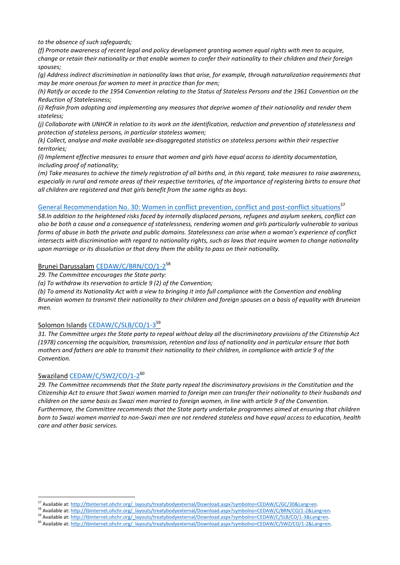*to the absence of such safeguards;* 

*(f) Promote awareness of recent legal and policy development granting women equal rights with men to acquire, change or retain their nationality or that enable women to confer their nationality to their children and their foreign spouses;* 

*(g) Address indirect discrimination in nationality laws that arise, for example, through naturalization requirements that may be more onerous for women to meet in practice than for men;* 

*(h) Ratify or accede to the 1954 Convention relating to the Status of Stateless Persons and the 1961 Convention on the Reduction of Statelessness;* 

*(i) Refrain from adopting and implementing any measures that deprive women of their nationality and render them stateless;* 

*(j) Collaborate with UNHCR in relation to its work on the identification, reduction and prevention of statelessness and protection of stateless persons, in particular stateless women;* 

*(k) Collect, analyse and make available sex-disaggregated statistics on stateless persons within their respective territories;* 

*(l) Implement effective measures to ensure that women and girls have equal access to identity documentation, including proof of nationality;* 

*(m) Take measures to achieve the timely registration of all births and, in this regard, take measures to raise awareness, especially in rural and remote areas of their respective territories, of the importance of registering births to ensure that all children are registered and that girls benefit from the same rights as boys.* 

# [General Recommendation No. 30: Women in conflict prevention, conflict and post-conflict situations](http://tbinternet.ohchr.org/_layouts/treatybodyexternal/Download.aspx?symbolno=CEDAW/C/GC/30&Lang=en)<sup>57</sup>

*58.In addition to the heightened risks faced by internally displaced persons, refugees and asylum seekers, conflict can also be both a cause and a consequence of statelessness, rendering women and girls particularly vulnerable to various forms of abuse in both the private and public domains. Statelessness can arise when a woman's experience of conflict intersects with discrimination with regard to nationality rights, such as laws that require women to change nationality upon marriage or its dissolution or that deny them the ability to pass on their nationality.*

# Brunei Darussalam [CEDAW/C/BRN/CO/1-2](http://tbinternet.ohchr.org/_layouts/treatybodyexternal/Download.aspx?symbolno=CEDAW/C/BRN/CO/1-2&Lang=en)<sup>58</sup>

*29. The Committee encourages the State party:* 

*(a) To withdraw its reservation to article 9 (2) of the Convention;* 

*(b) To amend its Nationality Act with a view to bringing it into full compliance with the Convention and enabling Bruneian women to transmit their nationality to their children and foreign spouses on a basis of equality with Bruneian men.*

# Solomon Islands [CEDAW/C/SLB/CO/1-3](http://tbinternet.ohchr.org/_layouts/treatybodyexternal/Download.aspx?symbolno=CEDAW/C/SLB/CO/1-3&Lang=en)<sup>59</sup>

*31. The Committee urges the State party to repeal without delay all the discriminatory provisions of the Citizenship Act (1978) concerning the acquisition, transmission, retention and loss of nationality and in particular ensure that both mothers and fathers are able to transmit their nationality to their children, in compliance with article 9 of the Convention.*

# Swaziland [CEDAW/C/SWZ/CO/1-2](http://tbinternet.ohchr.org/_layouts/treatybodyexternal/Download.aspx?symbolno=CEDAW/C/SWZ/CO/1-2&Lang=en)<sup>60</sup>

**.** 

*29. The Committee recommends that the State party repeal the discriminatory provisions in the Constitution and the Citizenship Act to ensure that Swazi women married to foreign men can transfer their nationality to their husbands and children on the same basis as Swazi men married to foreign women, in line with article 9 of the Convention. Furthermore, the Committee recommends that the State party undertake programmes aimed at ensuring that children born to Swazi women married to non-Swazi men are not rendered stateless and have equal access to education, health care and other basic services.*

<sup>&</sup>lt;sup>57</sup> Available at: http://tbinternet.ohchr.org/\_layouts/treatybodyexternal/Download.aspx?symbolno=CEDAW/C/GC/30&Lang=en.

<sup>58</sup> Available at[: http://tbinternet.ohchr.org/\\_layouts/treatybodyexternal/Download.aspx?symbolno=CEDAW/C/BRN/CO/1-2&Lang=en.](http://tbinternet.ohchr.org/_layouts/treatybodyexternal/Download.aspx?symbolno=CEDAW/C/BRN/CO/1-2&Lang=en) 

<sup>59</sup> Available at[: http://tbinternet.ohchr.org/\\_layouts/treatybodyexternal/Download.aspx?symbolno=CEDAW/C/SLB/CO/1-3&Lang=en.](http://tbinternet.ohchr.org/_layouts/treatybodyexternal/Download.aspx?symbolno=CEDAW/C/SLB/CO/1-3&Lang=en) 

<sup>&</sup>lt;sup>60</sup> Available at[: http://tbinternet.ohchr.org/\\_layouts/treatybodyexternal/Download.aspx?symbolno=CEDAW/C/SWZ/CO/1-2&Lang=en.](http://tbinternet.ohchr.org/_layouts/treatybodyexternal/Download.aspx?symbolno=CEDAW/C/SWZ/CO/1-2&Lang=en)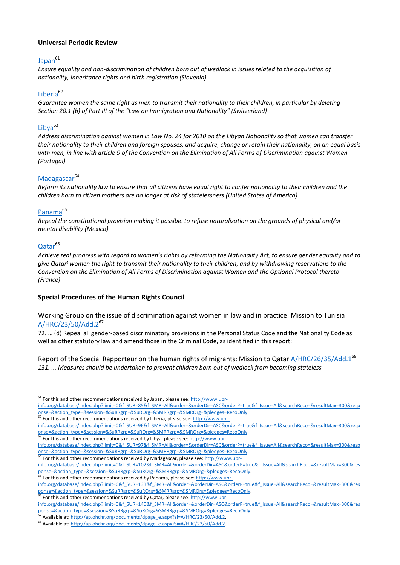## **Universal Periodic Review**

# [Japan](http://www.upr-info.org/database/index.php?limit=0&f_SUR=85&f_SMR=All&order=&orderDir=ASC&orderP=true&f_Issue=All&searchReco=&resultMax=300&response=&action_type=&session=&SuRRgrp=&SuROrg=&SMRRgrp=&SMROrg=&pledges=RecoOnly)<sup>61</sup>

*Ensure equality and non-discrimination of children born out of wedlock in issues related to the acquisition of nationality, inheritance rights and birth registration (Slovenia)*

## [Liberia](http://www.upr-info.org/database/index.php?limit=0&f_SUR=96&f_SMR=All&order=&orderDir=ASC&orderP=true&f_Issue=All&searchReco=&resultMax=300&response=&action_type=&session=&SuRRgrp=&SuROrg=&SMRRgrp=&SMROrg=&pledges=RecoOnly)<sup>62</sup>

*Guarantee women the same right as men to transmit their nationality to their children, in particular by deleting Section 20.1 (b) of Part III of the "Law on Immigration and Nationality" (Switzerland)*

# [Libya](http://www.upr-info.org/database/index.php?limit=0&f_SUR=97&f_SMR=All&order=&orderDir=ASC&orderP=true&f_Issue=All&searchReco=&resultMax=300&response=&action_type=&session=&SuRRgrp=&SuROrg=&SMRRgrp=&SMROrg=&pledges=RecoOnly)<sup>63</sup>

*Address discrimination against women in Law No. 24 for 2010 on the Libyan Nationality so that women can transfer their nationality to their children and foreign spouses, and acquire, change or retain their nationality, on an equal basis with men, in line with article 9 of the Convention on the Elimination of All Forms of Discrimination against Women (Portugal)*

# [Madagascar](http://www.upr-info.org/database/index.php?limit=0&f_SUR=102&f_SMR=All&order=&orderDir=ASC&orderP=true&f_Issue=All&searchReco=&resultMax=300&response=&action_type=&session=&SuRRgrp=&SuROrg=&SMRRgrp=&SMROrg=&pledges=RecoOnly)<sup>64</sup>

*Reform its nationality law to ensure that all citizens have equal right to confer nationality to their children and the children born to citizen mothers are no longer at risk of statelessness (United States of America)* 

# [Panama](http://www.upr-info.org/database/index.php?limit=0&f_SUR=133&f_SMR=All&order=&orderDir=ASC&orderP=true&f_Issue=All&searchReco=&resultMax=300&response=&action_type=&session=&SuRRgrp=&SuROrg=&SMRRgrp=&SMROrg=&pledges=RecoOnly)<sup>65</sup>

*Repeal the constitutional provision making it possible to refuse naturalization on the grounds of physical and/or mental disability (Mexico)*

# [Qatar](http://www.upr-info.org/database/index.php?limit=0&f_SUR=140&f_SMR=All&order=&orderDir=ASC&orderP=true&f_Issue=All&searchReco=&resultMax=300&response=&action_type=&session=&SuRRgrp=&SuROrg=&SMRRgrp=&SMROrg=&pledges=RecoOnly)<sup>66</sup>

*Achieve real progress with regard to women's rights by reforming the Nationality Act, to ensure gender equality and to give Qatari women the right to transmit their nationality to their children, and by withdrawing reservations to the Convention on the Elimination of All Forms of Discrimination against Women and the Optional Protocol thereto (France)*

## **Special Procedures of the Human Rights Council**

## Working Group on the issue of discrimination against women in law and in practice: Mission to Tunisia [A/HRC/23/50/Add.2](http://ap.ohchr.org/documents/dpage_e.aspx?si=A/HRC/23/50/Add.2)<sup>67</sup>

72. … (d) Repeal all gender-based discriminatory provisions in the Personal Status Code and the Nationality Code as well as other statutory law and amend those in the Criminal Code, as identified in this report;

Report of the Special Rapporteur on the human rights of migrants: Mission to Qatar [A/HRC/26/35/Add.1](http://ap.ohchr.org/documents/dpage_e.aspx?si=A/HRC/23/50/Add.2)68 *131. ... Measures should be undertaken to prevent children born out of wedlock from becoming stateless* 

 $64$  For this and other recommendations received by Madagascar, please see: [http://www.upr-](http://www.upr-info.org/database/index.php?limit=0&f_SUR=102&f_SMR=All&order=&orderDir=ASC&orderP=true&f_Issue=All&searchReco=&resultMax=300&response=&action_type=&session=&SuRRgrp=&SuROrg=&SMRRgrp=&SMROrg=&pledges=RecoOnly)

<sup>65</sup> For this and other recommendations received by Panama, please see[: http://www.upr-](http://www.upr-info.org/database/index.php?limit=0&f_SUR=133&f_SMR=All&order=&orderDir=ASC&orderP=true&f_Issue=All&searchReco=&resultMax=300&response=&action_type=&session=&SuRRgrp=&SuROrg=&SMRRgrp=&SMROrg=&pledges=RecoOnly)

For this and other recommendations received by Qatar, please see[: http://www.upr-](http://www.upr-info.org/database/index.php?limit=0&f_SUR=140&f_SMR=All&order=&orderDir=ASC&orderP=true&f_Issue=All&searchReco=&resultMax=300&response=&action_type=&session=&SuRRgrp=&SuROrg=&SMRRgrp=&SMROrg=&pledges=RecoOnly)

<sup>1</sup> <sup>61</sup> For this and other recommendations received by Japan, please see[: http://www.upr](http://www.upr-info.org/database/index.php?limit=0&f_SUR=85&f_SMR=All&order=&orderDir=ASC&orderP=true&f_Issue=All&searchReco=&resultMax=300&response=&action_type=&session=&SuRRgrp=&SuROrg=&SMRRgrp=&SMROrg=&pledges=RecoOnly)[info.org/database/index.php?limit=0&f\\_SUR=85&f\\_SMR=All&order=&orderDir=ASC&orderP=true&f\\_Issue=All&searchReco=&resultMax=300&resp](http://www.upr-info.org/database/index.php?limit=0&f_SUR=85&f_SMR=All&order=&orderDir=ASC&orderP=true&f_Issue=All&searchReco=&resultMax=300&response=&action_type=&session=&SuRRgrp=&SuROrg=&SMRRgrp=&SMROrg=&pledges=RecoOnly) [onse=&action\\_type=&session=&SuRRgrp=&SuROrg=&SMRRgrp=&SMROrg=&pledges=RecoOnly.](http://www.upr-info.org/database/index.php?limit=0&f_SUR=85&f_SMR=All&order=&orderDir=ASC&orderP=true&f_Issue=All&searchReco=&resultMax=300&response=&action_type=&session=&SuRRgrp=&SuROrg=&SMRRgrp=&SMROrg=&pledges=RecoOnly) 

<sup>&</sup>lt;sup>62</sup> For this and other recommendations received by Liberia, please see[: http://www.upr](http://www.upr-info.org/database/index.php?limit=0&f_SUR=96&f_SMR=All&order=&orderDir=ASC&orderP=true&f_Issue=All&searchReco=&resultMax=300&response=&action_type=&session=&SuRRgrp=&SuROrg=&SMRRgrp=&SMROrg=&pledges=RecoOnly)[info.org/database/index.php?limit=0&f\\_SUR=96&f\\_SMR=All&order=&orderDir=ASC&orderP=true&f\\_Issue=All&searchReco=&resultMax=300&resp](http://www.upr-info.org/database/index.php?limit=0&f_SUR=96&f_SMR=All&order=&orderDir=ASC&orderP=true&f_Issue=All&searchReco=&resultMax=300&response=&action_type=&session=&SuRRgrp=&SuROrg=&SMRRgrp=&SMROrg=&pledges=RecoOnly) [onse=&action\\_type=&session=&SuRRgrp=&SuROrg=&SMRRgrp=&SMROrg=&pledges=RecoOnly.](http://www.upr-info.org/database/index.php?limit=0&f_SUR=96&f_SMR=All&order=&orderDir=ASC&orderP=true&f_Issue=All&searchReco=&resultMax=300&response=&action_type=&session=&SuRRgrp=&SuROrg=&SMRRgrp=&SMROrg=&pledges=RecoOnly)  <sup>63</sup> For this and other recommendations received by Libya, please see[: http://www.upr-](http://www.upr-info.org/database/index.php?limit=0&f_SUR=97&f_SMR=All&order=&orderDir=ASC&orderP=true&f_Issue=All&searchReco=&resultMax=300&response=&action_type=&session=&SuRRgrp=&SuROrg=&SMRRgrp=&SMROrg=&pledges=RecoOnly)

[info.org/database/index.php?limit=0&f\\_SUR=97&f\\_SMR=All&order=&orderDir=ASC&orderP=true&f\\_Issue=All&searchReco=&resultMax=300&resp](http://www.upr-info.org/database/index.php?limit=0&f_SUR=97&f_SMR=All&order=&orderDir=ASC&orderP=true&f_Issue=All&searchReco=&resultMax=300&response=&action_type=&session=&SuRRgrp=&SuROrg=&SMRRgrp=&SMROrg=&pledges=RecoOnly) [onse=&action\\_type=&session=&SuRRgrp=&SuROrg=&SMRRgrp=&SMROrg=&pledges=RecoOnly.](http://www.upr-info.org/database/index.php?limit=0&f_SUR=97&f_SMR=All&order=&orderDir=ASC&orderP=true&f_Issue=All&searchReco=&resultMax=300&response=&action_type=&session=&SuRRgrp=&SuROrg=&SMRRgrp=&SMROrg=&pledges=RecoOnly) 

[info.org/database/index.php?limit=0&f\\_SUR=102&f\\_SMR=All&order=&orderDir=ASC&orderP=true&f\\_Issue=All&searchReco=&resultMax=300&res](http://www.upr-info.org/database/index.php?limit=0&f_SUR=102&f_SMR=All&order=&orderDir=ASC&orderP=true&f_Issue=All&searchReco=&resultMax=300&response=&action_type=&session=&SuRRgrp=&SuROrg=&SMRRgrp=&SMROrg=&pledges=RecoOnly) [ponse=&action\\_type=&session=&SuRRgrp=&SuROrg=&SMRRgrp=&SMROrg=&pledges=RecoOnly.](http://www.upr-info.org/database/index.php?limit=0&f_SUR=102&f_SMR=All&order=&orderDir=ASC&orderP=true&f_Issue=All&searchReco=&resultMax=300&response=&action_type=&session=&SuRRgrp=&SuROrg=&SMRRgrp=&SMROrg=&pledges=RecoOnly) 

[info.org/database/index.php?limit=0&f\\_SUR=133&f\\_SMR=All&order=&orderDir=ASC&orderP=true&f\\_Issue=All&searchReco=&resultMax=300&res](http://www.upr-info.org/database/index.php?limit=0&f_SUR=133&f_SMR=All&order=&orderDir=ASC&orderP=true&f_Issue=All&searchReco=&resultMax=300&response=&action_type=&session=&SuRRgrp=&SuROrg=&SMRRgrp=&SMROrg=&pledges=RecoOnly) ponse=&action\_type=&session=&SuRRgrp=&SuROrg=&SMRRgrp=&SMROrg=&pledges=RecoOnly.

[info.org/database/index.php?limit=0&f\\_SUR=140&f\\_SMR=All&order=&orderDir=ASC&orderP=true&f\\_Issue=All&searchReco=&resultMax=300&res](http://www.upr-info.org/database/index.php?limit=0&f_SUR=140&f_SMR=All&order=&orderDir=ASC&orderP=true&f_Issue=All&searchReco=&resultMax=300&response=&action_type=&session=&SuRRgrp=&SuROrg=&SMRRgrp=&SMROrg=&pledges=RecoOnly) [ponse=&action\\_type=&session=&SuRRgrp=&SuROrg=&SMRRgrp=&SMROrg=&pledges=RecoOnly.](http://www.upr-info.org/database/index.php?limit=0&f_SUR=140&f_SMR=All&order=&orderDir=ASC&orderP=true&f_Issue=All&searchReco=&resultMax=300&response=&action_type=&session=&SuRRgrp=&SuROrg=&SMRRgrp=&SMROrg=&pledges=RecoOnly) 

Available at[: http://ap.ohchr.org/documents/dpage\\_e.aspx?si=A/HRC/23/50/Add.2.](http://ap.ohchr.org/documents/dpage_e.aspx?si=A/HRC/23/50/Add.2)

<sup>&</sup>lt;sup>68</sup> Available at[: http://ap.ohchr.org/documents/dpage\\_e.aspx?si=A/HRC/23/50/Add.2.](http://ap.ohchr.org/documents/dpage_e.aspx?si=A/HRC/23/50/Add.2)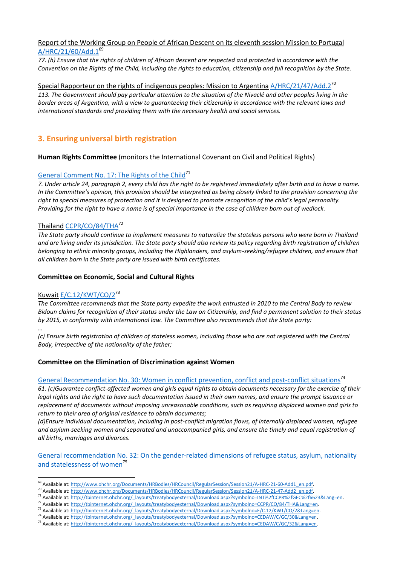#### Report of the Working Group on People of African Descent on its eleventh session Mission to Portugal  $A/HRC/21/60/Add.1^{69}$  $A/HRC/21/60/Add.1^{69}$

*77. (h) Ensure that the rights of children of African descent are respected and protected in accordance with the Convention on the Rights of the Child, including the rights to education, citizenship and full recognition by the State.*

Special Rapporteur on the rights of indigenous peoples: Mission to Argentina [A/HRC/21/47/Add.2](http://www.ohchr.org/Documents/HRBodies/HRCouncil/RegularSession/Session21/A-HRC-21-47-Add2_en.pdf)<sup>70</sup> *113. The Government should pay particular attention to the situation of the Nivaclé and other peoples living in the border areas of Argentina, with a view to guaranteeing their citizenship in accordance with the relevant laws and international standards and providing them with the necessary health and social services.*

# **3. Ensuring universal birth registration**

# **Human Rights Committee** (monitors the International Covenant on Civil and Political Rights)

# [General Comment No. 17: The Rights of the Child](http://tbinternet.ohchr.org/_layouts/treatybodyexternal/Download.aspx?symbolno=INT%2fCCPR%2fGEC%2f6623&Lang=en)<sup>71</sup>

*7. Under article 24, paragraph 2, every child has the right to be registered immediately after birth and to have a name. In the Committee's opinion, this provision should be interpreted as being closely linked to the provision concerning the right to special measures of protection and it is designed to promote recognition of the child's legal personality. Providing for the right to have a name is of special importance in the case of children born out of wedlock.*

# Thailand [CCPR/CO/84/THA](http://tbinternet.ohchr.org/_layouts/treatybodyexternal/Download.aspx?symbolno=CCPR/CO/84/THA&Lang=en)<sup>72</sup>

*The State party should continue to implement measures to naturalize the stateless persons who were born in Thailand and are living under its jurisdiction. The State party should also review its policy regarding birth registration of children belonging to ethnic minority groups, including the Highlanders, and asylum-seeking/refugee children, and ensure that all children born in the State party are issued with birth certificates.*

## **Committee on Economic, Social and Cultural Rights**

## Kuwait [E/C.12/KWT/CO/2](http://tbinternet.ohchr.org/_layouts/treatybodyexternal/Download.aspx?symbolno=E/C.12/KWT/CO/2&Lang=en)<sup>73</sup>

*The Committee recommends that the State party expedite the work entrusted in 2010 to the Central Body to review Bidoun claims for recognition of their status under the Law on Citizenship, and find a permanent solution to their status by 2015, in conformity with international law. The Committee also recommends that the State party:* 

*… (c) Ensure birth registration of children of stateless women, including those who are not registered with the Central Body, irrespective of the nationality of the father;*

## **Committee on the Elimination of Discrimination against Women**

#### [General Recommendation No. 30: Women in conflict prevention, conflict and post-conflict situations](http://tbinternet.ohchr.org/_layouts/treatybodyexternal/Download.aspx?symbolno=CEDAW/C/GC/30&Lang=en)<sup>74</sup>

*61. (c)Guarantee conflict-affected women and girls equal rights to obtain documents necessary for the exercise of their legal rights and the right to have such documentation issued in their own names, and ensure the prompt issuance or replacement of documents without imposing unreasonable conditions, such as requiring displaced women and girls to return to their area of original residence to obtain documents;*

*(d)Ensure individual documentation, including in post-conflict migration flows, of internally displaced women, refugee and asylum-seeking women and separated and unaccompanied girls, and ensure the timely and equal registration of all births, marriages and divorces.*

[General recommendation No. 32: On the gender-related dimensions of refugee status, asylum, nationality](http://tbinternet.ohchr.org/_layouts/treatybodyexternal/Download.aspx?symbolno=CEDAW/C/GC/32&Lang=en)  [and statelessness of women](http://tbinternet.ohchr.org/_layouts/treatybodyexternal/Download.aspx?symbolno=CEDAW/C/GC/32&Lang=en)<sup>75</sup>

**<sup>.</sup>** <sup>69</sup> Available at: http://www.ohchr.org/Documents/HRBodies/HRCouncil/RegularSession/Session21/A-HRC-21-60-Add1\_en.pdf.

<sup>70</sup> Available at[: http://www.ohchr.org/Documents/HRBodies/HRCouncil/RegularSession/Session21/A-HRC-21-47-Add2\\_en.pdf.](http://www.ohchr.org/Documents/HRBodies/HRCouncil/RegularSession/Session21/A-HRC-21-47-Add2_en.pdf) 

<sup>71</sup> Available at[: http://tbinternet.ohchr.org/\\_layouts/treatybodyexternal/Download.aspx?symbolno=INT%2fCCPR%2fGEC%2f6623&Lang=en.](http://tbinternet.ohchr.org/_layouts/treatybodyexternal/Download.aspx?symbolno=INT%2fCCPR%2fGEC%2f6623&Lang=en)

<sup>72</sup> Available at: http://tbinternet.ohchr.org/\_layouts/treatybodyexternal/Download.aspx?symbolno=CCPR/CO/84/THA&Lang=en.

<sup>73</sup> Available at: http://tbinternet.ohchr.org/\_layouts/treatybodyexternal/Download.aspx?symbolno=E/C.12/KWT/CO/2&Lang=en.

<sup>74</sup> Available at[: http://tbinternet.ohchr.org/\\_layouts/treatybodyexternal/Download.aspx?symbolno=CEDAW/C/GC/30&Lang=en.](http://tbinternet.ohchr.org/_layouts/treatybodyexternal/Download.aspx?symbolno=CEDAW/C/GC/30&Lang=en) 

<sup>&</sup>lt;sup>75</sup> Available at: http://tbinternet.ohchr.org/\_layouts/treatybodyexternal/Download.aspx?symbolno=CEDAW/C/GC/32&Lang=en.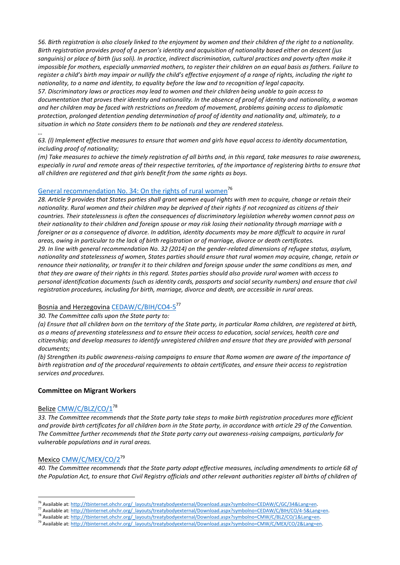*56. Birth registration is also closely linked to the enjoyment by women and their children of the right to a nationality. Birth registration provides proof of a person's identity and acquisition of nationality based either on descent (jus sanguinis) or place of birth (jus soli). In practice, indirect discrimination, cultural practices and poverty often make it impossible for mothers, especially unmarried mothers, to register their children on an equal basis as fathers. Failure to register a child's birth may impair or nullify the child's effective enjoyment of a range of rights, including the right to nationality, to a name and identity, to equality before the law and to recognition of legal capacity. 57. Discriminatory laws or practices may lead to women and their children being unable to gain access to documentation that proves their identity and nationality. In the absence of proof of identity and nationality, a woman and her children may be faced with restrictions on freedom of movement, problems gaining access to diplomatic protection, prolonged detention pending determination of proof of identity and nationality and, ultimately, to a situation in which no State considers them to be nationals and they are rendered stateless.* 

*63. (l) Implement effective measures to ensure that women and girls have equal access to identity documentation, including proof of nationality;* 

*(m) Take measures to achieve the timely registration of all births and, in this regard, take measures to raise awareness, especially in rural and remote areas of their respective territories, of the importance of registering births to ensure that all children are registered and that girls benefit from the same rights as boys.*

# [General recommendation No. 34: On the rights of rural women](http://tbinternet.ohchr.org/_layouts/treatybodyexternal/Download.aspx?symbolno=CEDAW/C/GC/34&Lang=en)<sup>76</sup>

*28. Article 9 provides that States parties shall grant women equal rights with men to acquire, change or retain their nationality. Rural women and their children may be deprived of their rights if not recognized as citizens of their countries. Their statelessness is often the consequences of discriminatory legislation whereby women cannot pass on their nationality to their children and foreign spouse or may risk losing their nationality through marriage with a foreigner or as a consequence of divorce. In addition, identity documents may be more difficult to acquire in rural areas, owing in particular to the lack of birth registration or of marriage, divorce or death certificates. 29. In line with general recommendation No. 32 (2014) on the gender-related dimensions of refugee status, asylum, nationality and statelessness of women, States parties should ensure that rural women may acquire, change, retain or renounce their nationality, or transfer it to their children and foreign spouse under the same conditions as men, and that they are aware of their rights in this regard. States parties should also provide rural women with access to personal identification documents (such as identity cards, passports and social security numbers) and ensure that civil registration procedures, including for birth, marriage, divorce and death, are accessible in rural areas.*

# Bosnia and Herzegovina [CEDAW/C/BIH/CO4-5](http://tbinternet.ohchr.org/_layouts/treatybodyexternal/Download.aspx?symbolno=CEDAW/C/BIH/CO/4-5&Lang=en)<sup>77</sup>

#### *30. The Committee calls upon the State party to:*

*(a) Ensure that all children born on the territory of the State party, in particular Roma children, are registered at birth, as a means of preventing statelessness and to ensure their access to education, social services, health care and citizenship; and develop measures to identify unregistered children and ensure that they are provided with personal documents;* 

*(b) Strengthen its public awareness-raising campaigns to ensure that Roma women are aware of the importance of birth registration and of the procedural requirements to obtain certificates, and ensure their access to registration services and procedures.*

#### **Committee on Migrant Workers**

#### Belize [CMW/C/BLZ/CO/1](http://tbinternet.ohchr.org/_layouts/treatybodyexternal/Download.aspx?symbolno=CMW/C/BLZ/CO/1&Lang=en)<sup>78</sup>

*…*

*33. The Committee recommends that the State party take steps to make birth registration procedures more efficient and provide birth certificates for all children born in the State party, in accordance with article 29 of the Convention. The Committee further recommends that the State party carry out awareness-raising campaigns, particularly for vulnerable populations and in rural areas.*

#### Mexico [CMW/C/MEX/CO/2](http://tbinternet.ohchr.org/_layouts/treatybodyexternal/Download.aspx?symbolno=CMW/C/MEX/CO/2&Lang=en)<sup>79</sup>

**.** 

*40. The Committee recommends that the State party adopt effective measures, including amendments to article 68 of the Population Act, to ensure that Civil Registry officials and other relevant authorities register all births of children of* 

<sup>&</sup>lt;sup>76</sup> Available at: http://tbinternet.ohchr.org/\_layouts/treatybodyexternal/Download.aspx?symbolno=CEDAW/C/GC/34&Lang=en.

<sup>77</sup> Available at: http://tbinternet.ohchr.org/\_layouts/treatybodyexternal/Download.aspx?symbolno=CEDAW/C/BIH/CO/4-5&Lang=en.

<sup>78</sup> Available at[: http://tbinternet.ohchr.org/\\_layouts/treatybodyexternal/Download.aspx?symbolno=CMW/C/BLZ/CO/1&Lang=en.](http://tbinternet.ohchr.org/_layouts/treatybodyexternal/Download.aspx?symbolno=CMW/C/BLZ/CO/1&Lang=en) 

<sup>&</sup>lt;sup>79</sup> Available at[: http://tbinternet.ohchr.org/\\_layouts/treatybodyexternal/Download.aspx?symbolno=CMW/C/MEX/CO/2&Lang=en.](http://tbinternet.ohchr.org/_layouts/treatybodyexternal/Download.aspx?symbolno=CMW/C/MEX/CO/2&Lang=en)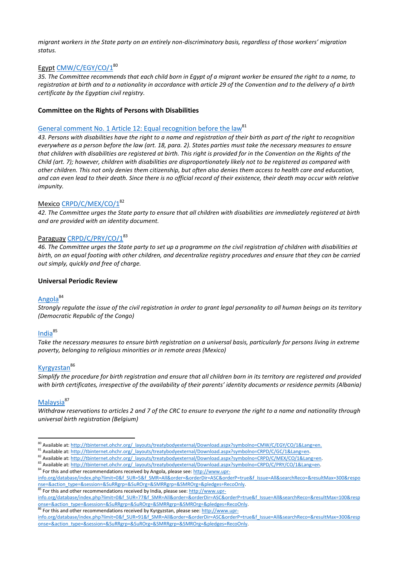*migrant workers in the State party on an entirely non-discriminatory basis, regardless of those workers' migration status.*

# Egypt [CMW/C/EGY/CO/1](http://tbinternet.ohchr.org/_layouts/treatybodyexternal/Download.aspx?symbolno=CMW/C/EGY/CO/1&Lang=en)80

*35. The Committee recommends that each child born in Egypt of a migrant worker be ensured the right to a name, to registration at birth and to a nationality in accordance with article 29 of the Convention and to the delivery of a birth certificate by the Egyptian civil registry.*

#### **Committee on the Rights of Persons with Disabilities**

#### [General comment No. 1 Article 12: Equal recognition before the law](http://tbinternet.ohchr.org/_layouts/treatybodyexternal/Download.aspx?symbolno=CRPD/C/GC/1&Lang=en)<sup>81</sup>

*43. Persons with disabilities have the right to a name and registration of their birth as part of the right to recognition everywhere as a person before the law (art. 18, para. 2). States parties must take the necessary measures to ensure that children with disabilities are registered at birth. This right is provided for in the Convention on the Rights of the Child (art. 7); however, children with disabilities are disproportionately likely not to be registered as compared with other children. This not only denies them citizenship, but often also denies them access to health care and education, and can even lead to their death. Since there is no official record of their existence, their death may occur with relative impunity.*

#### Mexico [CRPD/C/MEX/CO/1](http://tbinternet.ohchr.org/_layouts/treatybodyexternal/Download.aspx?symbolno=CRPD/C/MEX/CO/1&Lang=en)82

*42. The Committee urges the State party to ensure that all children with disabilities are immediately registered at birth and are provided with an identity document.*

# Paraguay [CRPD/C/PRY/CO/1](http://tbinternet.ohchr.org/_layouts/treatybodyexternal/Download.aspx?symbolno=CRPD/C/PRY/CO/1&Lang=en)83

*46. The Committee urges the State party to set up a programme on the civil registration of children with disabilities at birth, on an equal footing with other children, and decentralize registry procedures and ensure that they can be carried out simply, quickly and free of charge.*

#### **Universal Periodic Review**

## [Angola](http://www.upr-info.org/database/index.php?limit=0&f_SUR=5&f_SMR=All&order=&orderDir=ASC&orderP=true&f_Issue=All&searchReco=&resultMax=300&response=&action_type=&session=&SuRRgrp=&SuROrg=&SMRRgrp=&SMROrg=&pledges=RecoOnly)<sup>84</sup>

*Strongly regulate the issue of the civil registration in order to grant legal personality to all human beings on its territory (Democratic Republic of the Congo)*

#### [India](http://www.upr-info.org/database/index.php?limit=0&f_SUR=77&f_SMR=All&order=&orderDir=ASC&orderP=true&f_Issue=All&searchReco=&resultMax=100&response=&action_type=&session=&SuRRgrp=&SuROrg=&SMRRgrp=&SMROrg=&pledges=RecoOnly)<sup>85</sup>

*Take the necessary measures to ensure birth registration on a universal basis, particularly for persons living in extreme poverty, belonging to religious minorities or in remote areas (Mexico)*

#### [Kyrgyzstan](http://www.upr-info.org/database/index.php?limit=0&f_SUR=91&f_SMR=All&order=&orderDir=ASC&orderP=true&f_Issue=All&searchReco=&resultMax=300&response=&action_type=&session=&SuRRgrp=&SuROrg=&SMRRgrp=&SMROrg=&pledges=RecoOnly)<sup>86</sup>

*Simplify the procedure for birth registration and ensure that all children born in its territory are registered and provided with birth certificates, irrespective of the availability of their parents' identity documents or residence permits (Albania)*

#### [Malaysia](http://www.upr-info.org/database/index.php?limit=0&f_SUR=104&f_SMR=All&order=&orderDir=ASC&orderP=true&f_Issue=All&searchReco=&resultMax=300&response=&action_type=&session=&SuRRgrp=&SuROrg=&SMRRgrp=&SMROrg=&pledges=RecoOnly)<sup>87</sup>

1

*Withdraw reservations to articles 2 and 7 of the CRC to ensure to everyone the right to a name and nationality through universal birth registration (Belgium)*

<sup>80</sup> Available at[: http://tbinternet.ohchr.org/\\_layouts/treatybodyexternal/Download.aspx?symbolno=CMW/C/EGY/CO/1&Lang=en.](http://tbinternet.ohchr.org/_layouts/treatybodyexternal/Download.aspx?symbolno=CMW/C/EGY/CO/1&Lang=en)

<sup>81</sup> Available at: http://tbinternet.ohchr.org/\_layouts/treatybodyexternal/Download.aspx?symbolno=CRPD/C/GC/1&Lang=en.

<sup>82</sup> Available at: http://tbinternet.ohchr.org/\_layouts/treatybodyexternal/Download.aspx?symbolno=CRPD/C/MEX/CO/1&Lang=en.

<sup>83</sup> Available at[: http://tbinternet.ohchr.org/\\_layouts/treatybodyexternal/Download.aspx?symbolno=CRPD/C/PRY/CO/1&Lang=en.](http://tbinternet.ohchr.org/_layouts/treatybodyexternal/Download.aspx?symbolno=CRPD/C/PRY/CO/1&Lang=en)

<sup>&</sup>lt;sup>84</sup> For this and other recommendations received by Angola, please see: [http://www.upr-](http://www.upr-info.org/database/index.php?limit=0&f_SUR=5&f_SMR=All&order=&orderDir=ASC&orderP=true&f_Issue=All&searchReco=&resultMax=300&response=&action_type=&session=&SuRRgrp=&SuROrg=&SMRRgrp=&SMROrg=&pledges=RecoOnly)

[info.org/database/index.php?limit=0&f\\_SUR=5&f\\_SMR=All&order=&orderDir=ASC&orderP=true&f\\_Issue=All&searchReco=&resultMax=300&respo](http://www.upr-info.org/database/index.php?limit=0&f_SUR=5&f_SMR=All&order=&orderDir=ASC&orderP=true&f_Issue=All&searchReco=&resultMax=300&response=&action_type=&session=&SuRRgrp=&SuROrg=&SMRRgrp=&SMROrg=&pledges=RecoOnly) [nse=&action\\_type=&session=&SuRRgrp=&SuROrg=&SMRRgrp=&SMROrg=&pledges=RecoOnly.](http://www.upr-info.org/database/index.php?limit=0&f_SUR=5&f_SMR=All&order=&orderDir=ASC&orderP=true&f_Issue=All&searchReco=&resultMax=300&response=&action_type=&session=&SuRRgrp=&SuROrg=&SMRRgrp=&SMROrg=&pledges=RecoOnly) 

<sup>85</sup> For this and other recommendations received by India, please see[: http://www.upr](http://www.upr-info.org/database/index.php?limit=0&f_SUR=77&f_SMR=All&order=&orderDir=ASC&orderP=true&f_Issue=All&searchReco=&resultMax=100&response=&action_type=&session=&SuRRgrp=&SuROrg=&SMRRgrp=&SMROrg=&pledges=RecoOnly)[info.org/database/index.php?limit=0&f\\_SUR=77&f\\_SMR=All&order=&orderDir=ASC&orderP=true&f\\_Issue=All&searchReco=&resultMax=100&resp](http://www.upr-info.org/database/index.php?limit=0&f_SUR=77&f_SMR=All&order=&orderDir=ASC&orderP=true&f_Issue=All&searchReco=&resultMax=100&response=&action_type=&session=&SuRRgrp=&SuROrg=&SMRRgrp=&SMROrg=&pledges=RecoOnly) [onse=&action\\_type=&session=&SuRRgrp=&SuROrg=&SMRRgrp=&SMROrg=&pledges=RecoOnly.](http://www.upr-info.org/database/index.php?limit=0&f_SUR=77&f_SMR=All&order=&orderDir=ASC&orderP=true&f_Issue=All&searchReco=&resultMax=100&response=&action_type=&session=&SuRRgrp=&SuROrg=&SMRRgrp=&SMROrg=&pledges=RecoOnly) 

<sup>&</sup>lt;sup>86</sup> For this and other recommendations received by Kyrgyzstan, please see[: http://www.upr-](http://www.upr-info.org/database/index.php?limit=0&f_SUR=91&f_SMR=All&order=&orderDir=ASC&orderP=true&f_Issue=All&searchReco=&resultMax=300&response=&action_type=&session=&SuRRgrp=&SuROrg=&SMRRgrp=&SMROrg=&pledges=RecoOnly)

[info.org/database/index.php?limit=0&f\\_SUR=91&f\\_SMR=All&order=&orderDir=ASC&orderP=true&f\\_Issue=All&searchReco=&resultMax=300&resp](http://www.upr-info.org/database/index.php?limit=0&f_SUR=91&f_SMR=All&order=&orderDir=ASC&orderP=true&f_Issue=All&searchReco=&resultMax=300&response=&action_type=&session=&SuRRgrp=&SuROrg=&SMRRgrp=&SMROrg=&pledges=RecoOnly) [onse=&action\\_type=&session=&SuRRgrp=&SuROrg=&SMRRgrp=&SMROrg=&pledges=RecoOnly.](http://www.upr-info.org/database/index.php?limit=0&f_SUR=91&f_SMR=All&order=&orderDir=ASC&orderP=true&f_Issue=All&searchReco=&resultMax=300&response=&action_type=&session=&SuRRgrp=&SuROrg=&SMRRgrp=&SMROrg=&pledges=RecoOnly)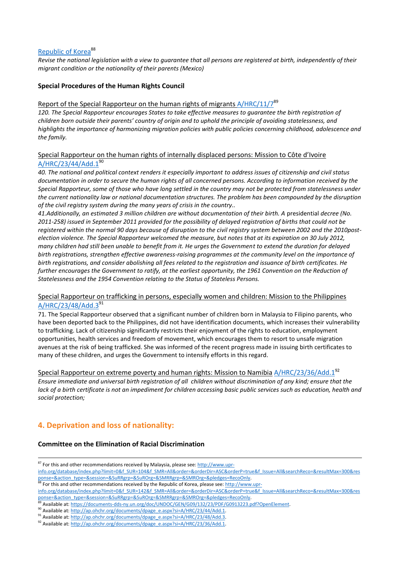#### [Republic of Korea](http://www.upr-info.org/database/index.php?limit=0&f_SUR=142&f_SMR=All&order=&orderDir=ASC&orderP=true&f_Issue=All&searchReco=&resultMax=300&response=&action_type=&session=&SuRRgrp=&SuROrg=&SMRRgrp=&SMROrg=&pledges=RecoOnly)<sup>88</sup>

*Revise the national legislation with a view to guarantee that all persons are registered at birth, independently of their migrant condition or the nationality of their parents (Mexico)*

#### **Special Procedures of the Human Rights Council**

#### Report of the Special Rapporteur on the human rights of migrants  $A/HRC/11/7^{89}$

*120. The Special Rapporteur encourages States to take effective measures to guarantee the birth registration of children born outside their parents' country of origin and to uphold the principle of avoiding statelessness, and highlights the importance of harmonizing migration policies with public policies concerning childhood, adolescence and the family.*

## Special Rapporteur on the human rights of internally displaced persons: Mission to Côte d'Ivoire  $A/HRC/23/44/Add.1^{90}$  $A/HRC/23/44/Add.1^{90}$

*40. The national and political context renders it especially important to address issues of citizenship and civil status documentation in order to secure the human rights of all concerned persons. According to information received by the Special Rapporteur, some of those who have long settled in the country may not be protected from statelessness under the current nationality law or national documentation structures. The problem has been compounded by the disruption of the civil registry system during the many years of crisis in the country..* 

*41.Additionally, an estimated 3 million children are without documentation of their birth. A* presidential *decree (No. 2011-258) issued in September 2011 provided for the possibility of delayed registration of births that could not be registered within the normal 90 days because of disruption to the civil registry system between 2002 and the 2010postelection violence. The Special Rapporteur welcomed the measure, but notes that at its expiration on 30 July 2012, many children had still been unable to benefit from it. He urges the Government to extend the duration for delayed birth registrations, strengthen effective awareness-raising programmes at the community level on the importance of birth registrations, and consider abolishing all fees related to the registration and issuance of birth certificates. He further encourages the Government to ratify, at the earliest opportunity, the 1961 Convention on the Reduction of Statelessness and the 1954 Convention relating to the Status of Stateless Persons.*

#### Special Rapporteur on trafficking in persons, especially women and children: Mission to the Philippines  $A/HRC/23/48/Add.3^{91}$  $A/HRC/23/48/Add.3^{91}$

71. The Special Rapporteur observed that a significant number of children born in Malaysia to Filipino parents, who have been deported back to the Philippines, did not have identification documents, which increases their vulnerability to trafficking. Lack of citizenship significantly restricts their enjoyment of the rights to education, employment opportunities, health services and freedom of movement, which encourages them to resort to unsafe migration avenues at the risk of being trafficked. She was informed of the recent progress made in issuing birth certificates to many of these children, and urges the Government to intensify efforts in this regard.

#### Special Rapporteur on extreme poverty and human rights: Mission to Namibia [A/HRC/23/36/Add.1](http://ap.ohchr.org/documents/dpage_e.aspx?si=A/HRC/23/36/Add.1)<sup>92</sup> *Ensure immediate and universal birth registration of all children without discrimination of any kind; ensure that the lack of a birth certificate is not an impediment for children accessing basic public services such as education, health and social protection;*

# **4. Deprivation and loss of nationality:**

**.** 

#### **Committee on the Elimination of Racial Discrimination**

 $87$  For this and other recommendations received by Malaysia, please see[: http://www.upr-](http://www.upr-info.org/database/index.php?limit=0&f_SUR=104&f_SMR=All&order=&orderDir=ASC&orderP=true&f_Issue=All&searchReco=&resultMax=300&response=&action_type=&session=&SuRRgrp=&SuROrg=&SMRRgrp=&SMROrg=&pledges=RecoOnly)

[info.org/database/index.php?limit=0&f\\_SUR=104&f\\_SMR=All&order=&orderDir=ASC&orderP=true&f\\_Issue=All&searchReco=&resultMax=300&res](http://www.upr-info.org/database/index.php?limit=0&f_SUR=104&f_SMR=All&order=&orderDir=ASC&orderP=true&f_Issue=All&searchReco=&resultMax=300&response=&action_type=&session=&SuRRgrp=&SuROrg=&SMRRgrp=&SMROrg=&pledges=RecoOnly) [ponse=&action\\_type=&session=&SuRRgrp=&SuROrg=&SMRRgrp=&SMROrg=&pledges=RecoOnly.](http://www.upr-info.org/database/index.php?limit=0&f_SUR=104&f_SMR=All&order=&orderDir=ASC&orderP=true&f_Issue=All&searchReco=&resultMax=300&response=&action_type=&session=&SuRRgrp=&SuROrg=&SMRRgrp=&SMROrg=&pledges=RecoOnly) 

<sup>&</sup>lt;sup>88</sup> For this and other recommendations received by the Republic of Korea, please see[: http://www.upr-](http://www.upr-info.org/database/index.php?limit=0&f_SUR=142&f_SMR=All&order=&orderDir=ASC&orderP=true&f_Issue=All&searchReco=&resultMax=300&response=&action_type=&session=&SuRRgrp=&SuROrg=&SMRRgrp=&SMROrg=&pledges=RecoOnly)

[info.org/database/index.php?limit=0&f\\_SUR=142&f\\_SMR=All&order=&orderDir=ASC&orderP=true&f\\_Issue=All&searchReco=&resultMax=300&res](http://www.upr-info.org/database/index.php?limit=0&f_SUR=142&f_SMR=All&order=&orderDir=ASC&orderP=true&f_Issue=All&searchReco=&resultMax=300&response=&action_type=&session=&SuRRgrp=&SuROrg=&SMRRgrp=&SMROrg=&pledges=RecoOnly) [ponse=&action\\_type=&session=&SuRRgrp=&SuROrg=&SMRRgrp=&SMROrg=&pledges=RecoOnly.](http://www.upr-info.org/database/index.php?limit=0&f_SUR=142&f_SMR=All&order=&orderDir=ASC&orderP=true&f_Issue=All&searchReco=&resultMax=300&response=&action_type=&session=&SuRRgrp=&SuROrg=&SMRRgrp=&SMROrg=&pledges=RecoOnly) 

<sup>89</sup> Available at[: https://documents-dds-ny.un.org/doc/UNDOC/GEN/G09/132/23/PDF/G0913223.pdf?OpenElement.](https://documents-dds-ny.un.org/doc/UNDOC/GEN/G09/132/23/PDF/G0913223.pdf?OpenElement) 

<sup>90</sup> Available at[: http://ap.ohchr.org/documents/dpage\\_e.aspx?si=A/HRC/23/44/Add.1.](http://ap.ohchr.org/documents/dpage_e.aspx?si=A/HRC/23/44/Add.1)

<sup>91</sup> Available at[: http://ap.ohchr.org/documents/dpage\\_e.aspx?si=A/HRC/23/48/Add.3.](http://ap.ohchr.org/documents/dpage_e.aspx?si=A/HRC/23/48/Add.3)

<sup>92</sup> Available at[: http://ap.ohchr.org/documents/dpage\\_e.aspx?si=A/HRC/23/36/Add.1.](http://ap.ohchr.org/documents/dpage_e.aspx?si=A/HRC/23/36/Add.1)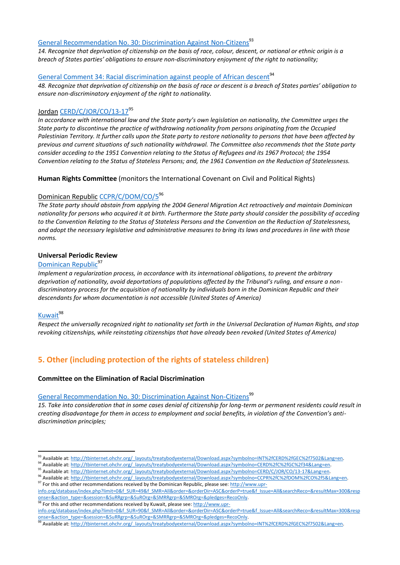#### [General Recommendation No. 30: Discrimination Against Non-Citizens](http://tbinternet.ohchr.org/_layouts/treatybodyexternal/Download.aspx?symbolno=INT%2fCERD%2fGEC%2f7502&Lang=en)<sup>93</sup>

*14. Recognize that deprivation of citizenship on the basis of race, colour, descent, or national or ethnic origin is a breach of States parties' obligations to ensure non-discriminatory enjoyment of the right to nationality;*

# [General Comment 34: Racial discrimination against people of African descent](http://tbinternet.ohchr.org/_layouts/treatybodyexternal/Download.aspx?symbolno=CERD%2fC%2fGC%2f34&Lang=en)<sup>94</sup>

*48. Recognize that deprivation of citizenship on the basis of race or descent is a breach of States parties' obligation to ensure non-discriminatory enjoyment of the right to nationality.*

# Jordan [CERD/C/JOR/CO/13-17](http://tbinternet.ohchr.org/_layouts/treatybodyexternal/Download.aspx?symbolno=CERD/C/JOR/CO/13-17&Lang=en)95

*In accordance with international law and the State party's own legislation on nationality, the Committee urges the State party to discontinue the practice of withdrawing nationality from persons originating from the Occupied Palestinian Territory. It further calls upon the State party to restore nationality to persons that have been affected by previous and current situations of such nationality withdrawal. The Committee also recommends that the State party consider acceding to the 1951 Convention relating to the Status of Refugees and its 1967 Protocol; the 1954 Convention relating to the Status of Stateless Persons; and, the 1961 Convention on the Reduction of Statelessness.*

#### **Human Rights Committee** (monitors the International Covenant on Civil and Political Rights)

# Dominican Republic [CCPR/C/DOM/CO/5](http://tbinternet.ohchr.org/_layouts/treatybodyexternal/Download.aspx?symbolno=CCPR%2fC%2fDOM%2fCO%2f5&Lang=en)<sup>96</sup>

*The State party should abstain from applying the 2004 General Migration Act retroactively and maintain Dominican nationality for persons who acquired it at birth. Furthermore the State party should consider the possibility of acceding to the Convention Relating to the Status of Stateless Persons and the Convention on the Reduction of Statelessness, and adopt the necessary legislative and administrative measures to bring its laws and procedures in line with those norms.*

#### **Universal Periodic Review**

### [Dominican Republic](http://www.upr-info.org/database/index.php?limit=0&f_SUR=49&f_SMR=All&order=&orderDir=ASC&orderP=true&f_Issue=All&searchReco=&resultMax=300&response=&action_type=&session=&SuRRgrp=&SuROrg=&SMRRgrp=&SMROrg=&pledges=RecoOnly)<sup>97</sup>

*Implement a regularization process, in accordance with its international obligations, to prevent the arbitrary deprivation of nationality, avoid deportations of populations affected by the Tribunal's ruling, and ensure a nondiscriminatory process for the acquisition of nationality by individuals born in the Dominican Republic and their descendants for whom documentation is not accessible (United States of America)*

# [Kuwait](http://www.upr-info.org/database/index.php?limit=0&f_SUR=90&f_SMR=All&order=&orderDir=ASC&orderP=true&f_Issue=All&searchReco=&resultMax=300&response=&action_type=&session=&SuRRgrp=&SuROrg=&SMRRgrp=&SMROrg=&pledges=RecoOnly)<sup>98</sup>

 $\overline{a}$ 

*Respect the universally recognized right to nationality set forth in the Universal Declaration of Human Rights, and stop revoking citizenships, while reinstating citizenships that have already been revoked (United States of America)*

# **5. Other (including protection of the rights of stateless children)**

## **Committee on the Elimination of Racial Discrimination**

# [General Recommendation No. 30: Discrimination Against Non-Citizens](http://tbinternet.ohchr.org/_layouts/treatybodyexternal/Download.aspx?symbolno=INT%2fCERD%2fGEC%2f7502&Lang=en)<sup>99</sup>

*15. Take into consideration that in some cases denial of citizenship for long-term or permanent residents could result in creating disadvantage for them in access to employment and social benefits, in violation of the Convention's antidiscrimination principles;*

For this and other recommendations received by Kuwait, please see: [http://www.upr-](http://www.upr-info.org/database/index.php?limit=0&f_SUR=90&f_SMR=All&order=&orderDir=ASC&orderP=true&f_Issue=All&searchReco=&resultMax=300&response=&action_type=&session=&SuRRgrp=&SuROrg=&SMRRgrp=&SMROrg=&pledges=RecoOnly)

<sup>93</sup> Available at: http://tbinternet.ohchr.org/\_layouts/treatybodyexternal/Download.aspx?symbolno=INT%2fCERD%2fGEC%2f7502&Lang=en.

<sup>94</sup> Available at: http://tbinternet.ohchr.org/\_layouts/treatybodyexternal/Download.aspx?symbolno=CERD%2fC%2fGC%2f34&Lang=en.

<sup>95</sup> Available at: http://tbinternet.ohchr.org/\_layouts/treatybodyexternal/Download.aspx?symbolno=CERD/C/JOR/CO/13-17&Lang=en.

<sup>96</sup> Available at: http://tbinternet.ohchr.org/\_layouts/treatybodyexternal/Download.aspx?symbolno=CCPR%2fC%2fDOM%2fCO%2f5&Lang=en. 97 For this and other recommendations received by the Dominican Republic, please see: [http://www.upr-](http://www.upr-info.org/database/index.php?limit=0&f_SUR=49&f_SMR=All&order=&orderDir=ASC&orderP=true&f_Issue=All&searchReco=&resultMax=300&response=&action_type=&session=&SuRRgrp=&SuROrg=&SMRRgrp=&SMROrg=&pledges=RecoOnly)

[info.org/database/index.php?limit=0&f\\_SUR=49&f\\_SMR=All&order=&orderDir=ASC&orderP=true&f\\_Issue=All&searchReco=&resultMax=300&resp](http://www.upr-info.org/database/index.php?limit=0&f_SUR=49&f_SMR=All&order=&orderDir=ASC&orderP=true&f_Issue=All&searchReco=&resultMax=300&response=&action_type=&session=&SuRRgrp=&SuROrg=&SMRRgrp=&SMROrg=&pledges=RecoOnly) onse=&action\_type=&session=&SuRRgrp=&SuROrg=&SMRRgrp=&SMROrg=&pledges=RecoOnly.

[info.org/database/index.php?limit=0&f\\_SUR=90&f\\_SMR=All&order=&orderDir=ASC&orderP=true&f\\_Issue=All&searchReco=&resultMax=300&resp](http://www.upr-info.org/database/index.php?limit=0&f_SUR=90&f_SMR=All&order=&orderDir=ASC&orderP=true&f_Issue=All&searchReco=&resultMax=300&response=&action_type=&session=&SuRRgrp=&SuROrg=&SMRRgrp=&SMROrg=&pledges=RecoOnly) [onse=&action\\_type=&session=&SuRRgrp=&SuROrg=&SMRRgrp=&SMROrg=&pledges=RecoOnly.](http://www.upr-info.org/database/index.php?limit=0&f_SUR=90&f_SMR=All&order=&orderDir=ASC&orderP=true&f_Issue=All&searchReco=&resultMax=300&response=&action_type=&session=&SuRRgrp=&SuROrg=&SMRRgrp=&SMROrg=&pledges=RecoOnly) 

Available at: http://tbinternet.ohchr.org/\_layouts/treatybodyexternal/Download.aspx?symbolno=INT%2fCERD%2fGEC%2f7502&Lang=en.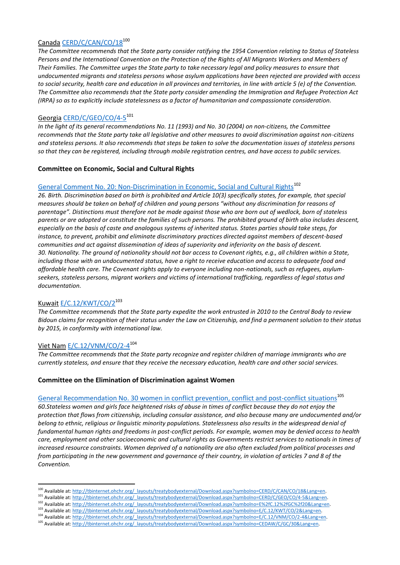## Canada [CERD/C/CAN/CO/18](http://tbinternet.ohchr.org/_layouts/treatybodyexternal/Download.aspx?symbolno=CERD/C/CAN/CO/18&Lang=en)100

*The Committee recommends that the State party consider ratifying the 1954 Convention relating to Status of Stateless Persons and the International Convention on the Protection of the Rights of All Migrants Workers and Members of Their Families. The Committee urges the State party to take necessary legal and policy measures to ensure that undocumented migrants and stateless persons whose asylum applications have been rejected are provided with access to social security, health care and education in all provinces and territories, in line with article 5 (e) of the Convention. The Committee also recommends that the State party consider amending the Immigration and Refugee Protection Act (IRPA) so as to explicitly include statelessness as a factor of humanitarian and compassionate consideration.*

# Georgia [CERD/C/GEO/CO/4-5](http://tbinternet.ohchr.org/_layouts/treatybodyexternal/Download.aspx?symbolno=CERD/C/GEO/CO/4-5&Lang=en) 101

*In the light of its general recommendations No. 11 (1993) and No. 30 (2004) on non-citizens, the Committee recommends that the State party take all legislative and other measures to avoid discrimination against non-citizens and stateless persons. It also recommends that steps be taken to solve the documentation issues of stateless persons so that they can be registered, including through mobile registration centres, and have access to public services.*

#### **Committee on Economic, Social and Cultural Rights**

#### [General Comment No. 20: Non-Discrimination in Economic, Social and Cultural Rights](http://tbinternet.ohchr.org/_layouts/treatybodyexternal/Download.aspx?symbolno=E%2fC.12%2fGC%2f20&Lang=en)<sup>102</sup>

*26. Birth. Discrimination based on birth is prohibited and Article 10(3) specifically states, for example, that special measures should be taken on behalf of children and young persons "without any discrimination for reasons of parentage". Distinctions must therefore not be made against those who are born out of wedlock, born of stateless parents or are adopted or constitute the families of such persons. The prohibited ground of birth also includes descent, especially on the basis of caste and analogous systems of inherited status. States parties should take steps, for instance, to prevent, prohibit and eliminate discriminatory practices directed against members of descent-based communities and act against dissemination of ideas of superiority and inferiority on the basis of descent. 30. Nationality. The ground of nationality should not bar access to Covenant rights, e.g., all children within a State, including those with an undocumented status, have a right to receive education and access to adequate food and affordable health care. The Covenant rights apply to everyone including non-nationals, such as refugees, asylumseekers, stateless persons, migrant workers and victims of international trafficking, regardless of legal status and documentation.* 

# Kuwait [E/C.12/KWT/CO/2](http://tbinternet.ohchr.org/_layouts/treatybodyexternal/Download.aspx?symbolno=E/C.12/KWT/CO/2&Lang=en)<sup>103</sup>

*The Committee recommends that the State party expedite the work entrusted in 2010 to the Central Body to review Bidoun claims for recognition of their status under the Law on Citizenship, and find a permanent solution to their status by 2015, in conformity with international law.* 

# <u>Viet Nam [E/C.12/VNM/CO/2-4](http://tbinternet.ohchr.org/_layouts/treatybodyexternal/Download.aspx?symbolno=E/C.12/VNM/CO/2-4&Lang=en)</u><sup>104</sup>

**.** 

*The Committee recommends that the State party recognize and register children of marriage immigrants who are currently stateless, and ensure that they receive the necessary education, health care and other social services.*

#### **Committee on the Elimination of Discrimination against Women**

# [General Recommendation No. 30 women in conflict prevention, conflict and post-conflict situations](http://tbinternet.ohchr.org/_layouts/treatybodyexternal/Download.aspx?symbolno=CEDAW/C/GC/30&Lang=en)<sup>105</sup>

*60.Stateless women and girls face heightened risks of abuse in times of conflict because they do not enjoy the protection that flows from citizenship, including consular assistance, and also because many are undocumented and/or belong to ethnic, religious or linguistic minority populations. Statelessness also results in the widespread denial of fundamental human rights and freedoms in post-conflict periods. For example, women may be denied access to health care, employment and other socioeconomic and cultural rights as Governments restrict services to nationals in times of increased resource constraints. Women deprived of a nationality are also often excluded from political processes and from participating in the new government and governance of their country, in violation of articles 7 and 8 of the Convention.*

<sup>&</sup>lt;sup>100</sup> Available at: [http://tbinternet.ohchr.org/\\_layouts/treatybodyexternal/Download.aspx?symbolno=CERD/C/CAN/CO/18&Lang=en.](http://tbinternet.ohchr.org/_layouts/treatybodyexternal/Download.aspx?symbolno=CERD/C/CAN/CO/18&Lang=en)

<sup>101</sup> Available at: http://tbinternet.ohchr.org/\_layouts/treatybodyexternal/Download.aspx?symbolno=CERD/C/GEO/CO/4-5&Lang=en.

<sup>102</sup> Available at: http://tbinternet.ohchr.org/\_layouts/treatybodyexternal/Download.aspx?symbolno=E%2fC.12%2fGC%2f20&Lang=en.

<sup>103</sup> Available at: http://tbinternet.ohchr.org/\_layouts/treatybodyexternal/Download.aspx?symbolno=E/C.12/KWT/CO/2&Lang=en.

<sup>104</sup> Available at: http://tbinternet.ohchr.org/\_layouts/treatybodyexternal/Download.aspx?symbolno=E/C.12/VNM/CO/2-4&Lang=en.

<sup>105</sup> Available at: [http://tbinternet.ohchr.org/\\_layouts/treatybodyexternal/Download.aspx?symbolno=CEDAW/C/GC/30&Lang=en.](http://tbinternet.ohchr.org/_layouts/treatybodyexternal/Download.aspx?symbolno=CEDAW/C/GC/30&Lang=en)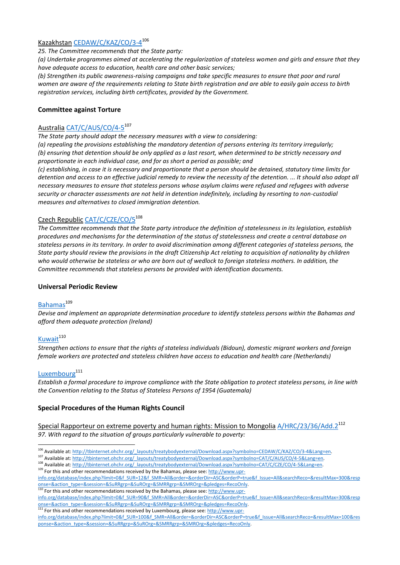# Kazakhstan [CEDAW/C/KAZ/CO/3-4](http://tbinternet.ohchr.org/_layouts/treatybodyexternal/Download.aspx?symbolno=CEDAW/C/KAZ/CO/3-4&Lang=en) 106

*25. The Committee recommends that the State party:*

*(a) Undertake programmes aimed at accelerating the regularization of stateless women and girls and ensure that they have adequate access to education, health care and other basic services;*

*(b) Strengthen its public awareness-raising campaigns and take specific measures to ensure that poor and rural women are aware of the requirements relating to State birth registration and are able to easily gain access to birth registration services, including birth certificates, provided by the Government.*

#### **Committee against Torture**

# Australia [CAT/C/AUS/CO/4-5](http://tbinternet.ohchr.org/_layouts/treatybodyexternal/Download.aspx?symbolno=CAT/C/AUS/CO/4-5&Lang=en) 107

*The State party should adopt the necessary measures with a view to considering:* 

*(a) repealing the provisions establishing the mandatory detention of persons entering its territory irregularly; (b) ensuring that detention should be only applied as a last resort, when determined to be strictly necessary and proportionate in each individual case, and for as short a period as possible; and* 

*(c) establishing, in case it is necessary and proportionate that a person should be detained, statutory time limits for detention and access to an effective judicial remedy to review the necessity of the detention. ... It should also adopt all necessary measures to ensure that stateless persons whose asylum claims were refused and refugees with adverse security or character assessments are not held in detention indefinitely, including by resorting to non-custodial measures and alternatives to closed immigration detention.*

# Czech Republic [CAT/C/CZE/CO/5](http://tbinternet.ohchr.org/_layouts/treatybodyexternal/Download.aspx?symbolno=CAT/C/CZE/CO/4-5&Lang=en)<sup>108</sup>

*The Committee recommends that the State party introduce the definition of statelessness in its legislation, establish procedures and mechanisms for the determination of the status of statelessness and create a central database on stateless persons in its territory. In order to avoid discrimination among different categories of stateless persons, the State party should review the provisions in the draft Citizenship Act relating to acquisition of nationality by children who would otherwise be stateless or who are born out of wedlock to foreign stateless mothers. In addition, the Committee recommends that stateless persons be provided with identification documents.*

#### **Universal Periodic Review**

# [Bahamas](http://www.upr-info.org/database/index.php?limit=0&f_SUR=12&f_SMR=All&order=&orderDir=ASC&orderP=true&f_Issue=All&searchReco=&resultMax=300&response=&action_type=&session=&SuRRgrp=&SuROrg=&SMRRgrp=&SMROrg=&pledges=RecoOnly)<sup>109</sup>

*Devise and implement an appropriate determination procedure to identify stateless persons within the Bahamas and afford them adequate protection (Ireland)*

# [Kuwait](http://www.upr-info.org/database/index.php?limit=0&f_SUR=90&f_SMR=All&order=&orderDir=ASC&orderP=true&f_Issue=All&searchReco=&resultMax=300&response=&action_type=&session=&SuRRgrp=&SuROrg=&SMRRgrp=&SMROrg=&pledges=RecoOnly)<sup>110</sup>

*Strengthen actions to ensure that the rights of stateless individuals (Bidoun), domestic migrant workers and foreign female workers are protected and stateless children have access to education and health care (Netherlands)*

#### [Luxembourg](http://www.upr-info.org/database/index.php?limit=0&f_SUR=100&f_SMR=All&order=&orderDir=ASC&orderP=true&f_Issue=All&searchReco=&resultMax=100&response=&action_type=&session=&SuRRgrp=&SuROrg=&SMRRgrp=&SMROrg=&pledges=RecoOnly)<sup>111</sup>

*Establish a formal procedure to improve compliance with the State obligation to protect stateless persons, in line with the Convention relating to the Status of Stateless Persons of 1954 (Guatemala)*

## **Special Procedures of the Human Rights Council**

Special Rapporteur on extreme poverty and human rights: Mission to Mongolia [A/HRC/23/36/Add.2](http://ap.ohchr.org/Documents/gmainec.aspx)<sup>112</sup> *97. With regard to the situation of groups particularly vulnerable to poverty:*

**<sup>.</sup>** <sup>106</sup> Available at: http://tbinternet.ohchr.org/ layouts/treatybodyexternal/Download.aspx?symbolno=CEDAW/C/KAZ/CO/3-4&Lang=en.

<sup>107</sup> Available at: http://tbinternet.ohchr.org/\_layouts/treatybodyexternal/Download.aspx?symbolno=CAT/C/AUS/CO/4-5&Lang=en.

<sup>108</sup> Available at: http://tbinternet.ohchr.org/\_layouts/treatybodyexternal/Download.aspx?symbolno=CAT/C/CZE/CO/4-5&Lang=en.

<sup>&</sup>lt;sup>109</sup> For this and other recommendations received by the Bahamas, please see[: http://www.upr-](http://www.upr-info.org/database/index.php?limit=0&f_SUR=12&f_SMR=All&order=&orderDir=ASC&orderP=true&f_Issue=All&searchReco=&resultMax=300&response=&action_type=&session=&SuRRgrp=&SuROrg=&SMRRgrp=&SMROrg=&pledges=RecoOnly)

[info.org/database/index.php?limit=0&f\\_SUR=12&f\\_SMR=All&order=&orderDir=ASC&orderP=true&f\\_Issue=All&searchReco=&resultMax=300&resp](http://www.upr-info.org/database/index.php?limit=0&f_SUR=12&f_SMR=All&order=&orderDir=ASC&orderP=true&f_Issue=All&searchReco=&resultMax=300&response=&action_type=&session=&SuRRgrp=&SuROrg=&SMRRgrp=&SMROrg=&pledges=RecoOnly) [onse=&action\\_type=&session=&SuRRgrp=&SuROrg=&SMRRgrp=&SMROrg=&pledges=RecoOnly.](http://www.upr-info.org/database/index.php?limit=0&f_SUR=12&f_SMR=All&order=&orderDir=ASC&orderP=true&f_Issue=All&searchReco=&resultMax=300&response=&action_type=&session=&SuRRgrp=&SuROrg=&SMRRgrp=&SMROrg=&pledges=RecoOnly) 

<sup>110</sup> For this and other recommendations received by the Bahamas, please see[: http://www.upr](http://www.upr-info.org/database/index.php?limit=0&f_SUR=90&f_SMR=All&order=&orderDir=ASC&orderP=true&f_Issue=All&searchReco=&resultMax=300&response=&action_type=&session=&SuRRgrp=&SuROrg=&SMRRgrp=&SMROrg=&pledges=RecoOnly)[info.org/database/index.php?limit=0&f\\_SUR=90&f\\_SMR=All&order=&orderDir=ASC&orderP=true&f\\_Issue=All&searchReco=&resultMax=300&resp](http://www.upr-info.org/database/index.php?limit=0&f_SUR=90&f_SMR=All&order=&orderDir=ASC&orderP=true&f_Issue=All&searchReco=&resultMax=300&response=&action_type=&session=&SuRRgrp=&SuROrg=&SMRRgrp=&SMROrg=&pledges=RecoOnly) [onse=&action\\_type=&session=&SuRRgrp=&SuROrg=&SMRRgrp=&SMROrg=&pledges=RecoOnly.](http://www.upr-info.org/database/index.php?limit=0&f_SUR=90&f_SMR=All&order=&orderDir=ASC&orderP=true&f_Issue=All&searchReco=&resultMax=300&response=&action_type=&session=&SuRRgrp=&SuROrg=&SMRRgrp=&SMROrg=&pledges=RecoOnly) 

<sup>&</sup>lt;sup>111</sup> For this and other recommendations received by Luxembourg, please see[: http://www.upr-](http://www.upr-info.org/database/index.php?limit=0&f_SUR=100&f_SMR=All&order=&orderDir=ASC&orderP=true&f_Issue=All&searchReco=&resultMax=100&response=&action_type=&session=&SuRRgrp=&SuROrg=&SMRRgrp=&SMROrg=&pledges=RecoOnly)

[info.org/database/index.php?limit=0&f\\_SUR=100&f\\_SMR=All&order=&orderDir=ASC&orderP=true&f\\_Issue=All&searchReco=&resultMax=100&res](http://www.upr-info.org/database/index.php?limit=0&f_SUR=100&f_SMR=All&order=&orderDir=ASC&orderP=true&f_Issue=All&searchReco=&resultMax=100&response=&action_type=&session=&SuRRgrp=&SuROrg=&SMRRgrp=&SMROrg=&pledges=RecoOnly) [ponse=&action\\_type=&session=&SuRRgrp=&SuROrg=&SMRRgrp=&SMROrg=&pledges=RecoOnly.](http://www.upr-info.org/database/index.php?limit=0&f_SUR=100&f_SMR=All&order=&orderDir=ASC&orderP=true&f_Issue=All&searchReco=&resultMax=100&response=&action_type=&session=&SuRRgrp=&SuROrg=&SMRRgrp=&SMROrg=&pledges=RecoOnly)